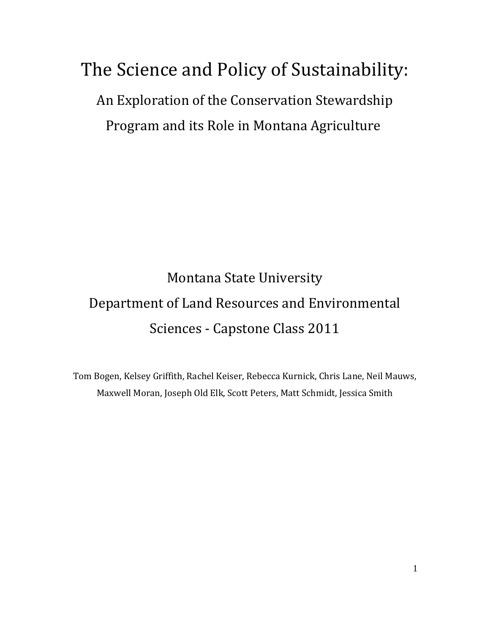# The Science and Policy of Sustainability:

An Exploration of the Conservation Stewardship Program and its Role in Montana Agriculture

## Montana State University Department of Land Resources and Environmental Sciences - Capstone Class 2011

Tom Bogen, Kelsey Griffith, Rachel Keiser, Rebecca Kurnick, Chris Lane, Neil Mauws, Maxwell Moran, Joseph Old Elk, Scott Peters, Matt Schmidt, Jessica Smith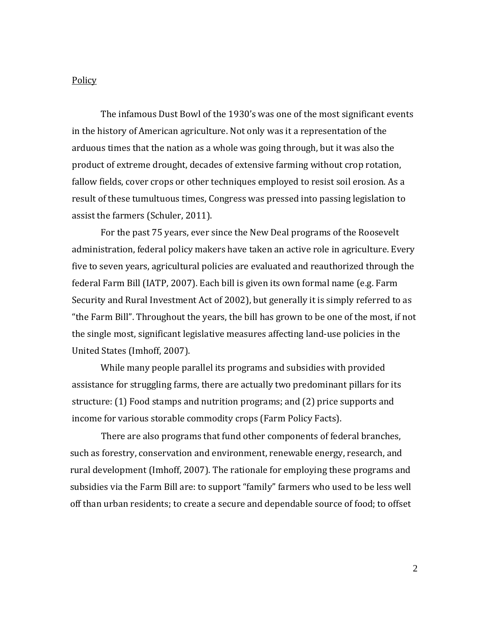### **Policy**

The infamous Dust Bowl of the 1930's was one of the most significant events in the history of American agriculture. Not only was it a representation of the arduous times that the nation as a whole was going through, but it was also the product of extreme drought, decades of extensive farming without crop rotation, fallow fields, cover crops or other techniques employed to resist soil erosion. As a result of these tumultuous times, Congress was pressed into passing legislation to assist the farmers (Schuler, 2011).

For the past 75 years, ever since the New Deal programs of the Roosevelt administration, federal policy makers have taken an active role in agriculture. Every five to seven years, agricultural policies are evaluated and reauthorized through the federal Farm Bill (IATP, 2007). Each bill is given its own formal name (e.g. Farm Security and Rural Investment Act of 2002), but generally it is simply referred to as "the Farm Bill". Throughout the years, the bill has grown to be one of the most, if not the single most, significant legislative measures affecting land-use policies in the United States (Imhoff, 2007).

While many people parallel its programs and subsidies with provided assistance for struggling farms, there are actually two predominant pillars for its structure: (1) Food stamps and nutrition programs; and (2) price supports and income for various storable commodity crops (Farm Policy Facts).

There are also programs that fund other components of federal branches, such as forestry, conservation and environment, renewable energy, research, and rural development (Imhoff, 2007). The rationale for employing these programs and subsidies via the Farm Bill are: to support "family" farmers who used to be less well off than urban residents; to create a secure and dependable source of food; to offset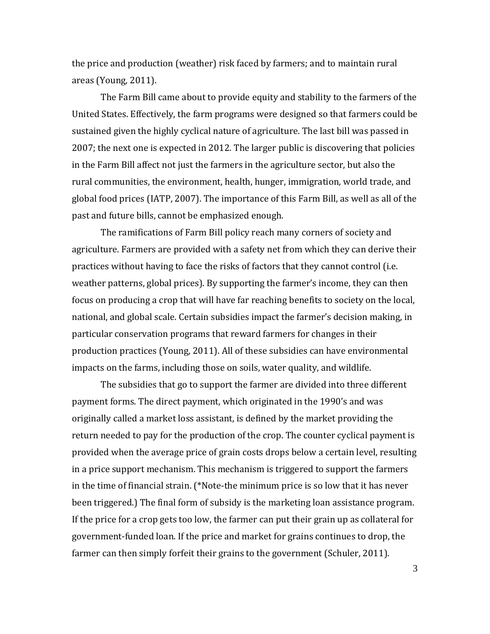the price and production (weather) risk faced by farmers; and to maintain rural areas (Young, 2011).

The Farm Bill came about to provide equity and stability to the farmers of the United States. Effectively, the farm programs were designed so that farmers could be sustained given the highly cyclical nature of agriculture. The last bill was passed in 2007; the next one is expected in 2012. The larger public is discovering that policies in the Farm Bill affect not just the farmers in the agriculture sector, but also the rural communities, the environment, health, hunger, immigration, world trade, and global food prices (IATP, 2007). The importance of this Farm Bill, as well as all of the past and future bills, cannot be emphasized enough.

The ramifications of Farm Bill policy reach many corners of society and agriculture. Farmers are provided with a safety net from which they can derive their practices without having to face the risks of factors that they cannot control (i.e. weather patterns, global prices). By supporting the farmer's income, they can then focus on producing a crop that will have far reaching benefits to society on the local, national, and global scale. Certain subsidies impact the farmer's decision making, in particular conservation programs that reward farmers for changes in their production practices (Young, 2011). All of these subsidies can have environmental impacts on the farms, including those on soils, water quality, and wildlife.

 The subsidies that go to support the farmer are divided into three different payment forms. The direct payment, which originated in the 1990's and was originally called a market loss assistant, is defined by the market providing the return needed to pay for the production of the crop. The counter cyclical payment is provided when the average price of grain costs drops below a certain level, resulting in a price support mechanism. This mechanism is triggered to support the farmers in the time of financial strain. (\*Note-the minimum price is so low that it has never been triggered.) The final form of subsidy is the marketing loan assistance program. If the price for a crop gets too low, the farmer can put their grain up as collateral for government-funded loan. If the price and market for grains continues to drop, the farmer can then simply forfeit their grains to the government (Schuler, 2011).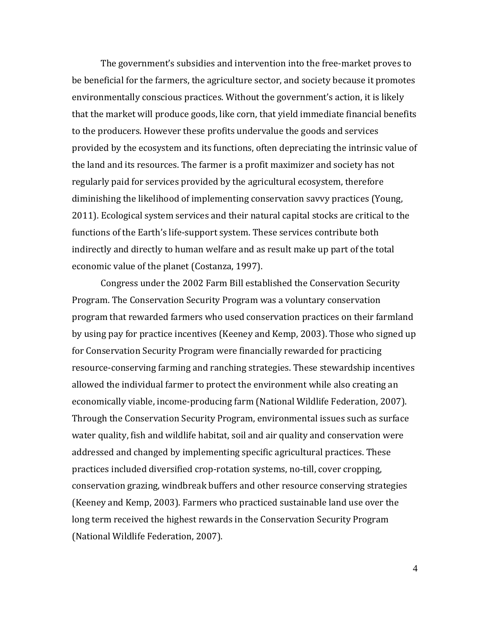The government's subsidies and intervention into the free-market proves to be beneficial for the farmers, the agriculture sector, and society because it promotes environmentally conscious practices. Without the government's action, it is likely that the market will produce goods, like corn, that yield immediate financial benefits to the producers. However these profits undervalue the goods and services provided by the ecosystem and its functions, often depreciating the intrinsic value of the land and its resources. The farmer is a profit maximizer and society has not regularly paid for services provided by the agricultural ecosystem, therefore diminishing the likelihood of implementing conservation savvy practices (Young, 2011). Ecological system services and their natural capital stocks are critical to the functions of the Earth's life-support system. These services contribute both indirectly and directly to human welfare and as result make up part of the total economic value of the planet (Costanza, 1997).

 Congress under the 2002 Farm Bill established the Conservation Security Program. The Conservation Security Program was a voluntary conservation program that rewarded farmers who used conservation practices on their farmland by using pay for practice incentives (Keeney and Kemp, 2003). Those who signed up for Conservation Security Program were financially rewarded for practicing resource-conserving farming and ranching strategies. These stewardship incentives allowed the individual farmer to protect the environment while also creating an economically viable, income-producing farm (National Wildlife Federation, 2007). Through the Conservation Security Program, environmental issues such as surface water quality, fish and wildlife habitat, soil and air quality and conservation were addressed and changed by implementing specific agricultural practices. These practices included diversified crop-rotation systems, no-till, cover cropping, conservation grazing, windbreak buffers and other resource conserving strategies (Keeney and Kemp, 2003). Farmers who practiced sustainable land use over the long term received the highest rewards in the Conservation Security Program (National Wildlife Federation, 2007).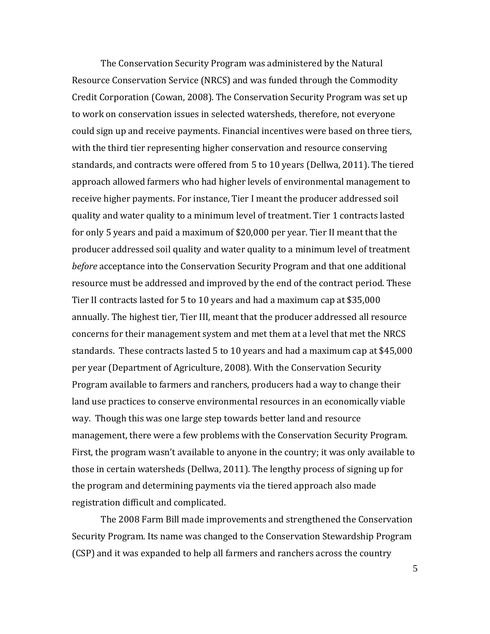The Conservation Security Program was administered by the Natural Resource Conservation Service (NRCS) and was funded through the Commodity Credit Corporation (Cowan, 2008). The Conservation Security Program was set up to work on conservation issues in selected watersheds, therefore, not everyone could sign up and receive payments. Financial incentives were based on three tiers, with the third tier representing higher conservation and resource conserving standards, and contracts were offered from 5 to 10 years (Dellwa, 2011). The tiered approach allowed farmers who had higher levels of environmental management to receive higher payments. For instance, Tier I meant the producer addressed soil quality and water quality to a minimum level of treatment. Tier 1 contracts lasted for only 5 years and paid a maximum of \$20,000 per year. Tier II meant that the producer addressed soil quality and water quality to a minimum level of treatment *before* acceptance into the Conservation Security Program and that one additional resource must be addressed and improved by the end of the contract period. These Tier II contracts lasted for 5 to 10 years and had a maximum cap at \$35,000 annually. The highest tier, Tier III, meant that the producer addressed all resource concerns for their management system and met them at a level that met the NRCS standards. These contracts lasted 5 to 10 years and had a maximum cap at \$45,000 per year (Department of Agriculture, 2008). With the Conservation Security Program available to farmers and ranchers, producers had a way to change their land use practices to conserve environmental resources in an economically viable way. Though this was one large step towards better land and resource management, there were a few problems with the Conservation Security Program. First, the program wasn't available to anyone in the country; it was only available to those in certain watersheds (Dellwa, 2011). The lengthy process of signing up for the program and determining payments via the tiered approach also made registration difficult and complicated.

The 2008 Farm Bill made improvements and strengthened the Conservation Security Program. Its name was changed to the Conservation Stewardship Program (CSP) and it was expanded to help all farmers and ranchers across the country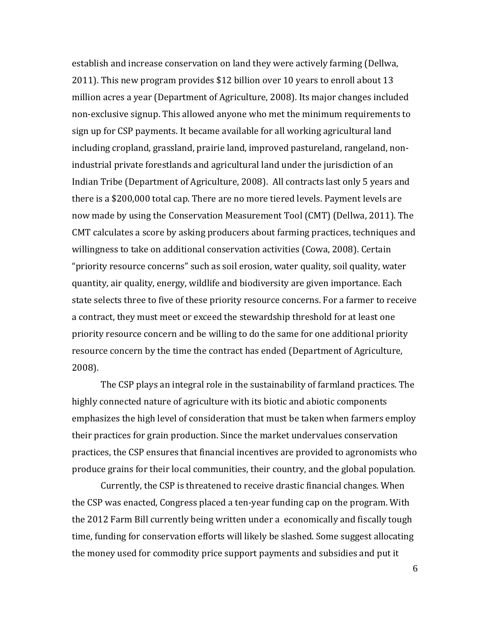establish and increase conservation on land they were actively farming (Dellwa, 2011). This new program provides \$12 billion over 10 years to enroll about 13 million acres a year (Department of Agriculture, 2008). Its major changes included non-exclusive signup. This allowed anyone who met the minimum requirements to sign up for CSP payments. It became available for all working agricultural land including cropland, grassland, prairie land, improved pastureland, rangeland, nonindustrial private forestlands and agricultural land under the jurisdiction of an Indian Tribe (Department of Agriculture, 2008). All contracts last only 5 years and there is a \$200,000 total cap. There are no more tiered levels. Payment levels are now made by using the Conservation Measurement Tool (CMT) (Dellwa, 2011). The CMT calculates a score by asking producers about farming practices, techniques and willingness to take on additional conservation activities (Cowa, 2008). Certain "priority resource concerns" such as soil erosion, water quality, soil quality, water quantity, air quality, energy, wildlife and biodiversity are given importance. Each state selects three to five of these priority resource concerns. For a farmer to receive a contract, they must meet or exceed the stewardship threshold for at least one priority resource concern and be willing to do the same for one additional priority resource concern by the time the contract has ended (Department of Agriculture, 2008).

The CSP plays an integral role in the sustainability of farmland practices. The highly connected nature of agriculture with its biotic and abiotic components emphasizes the high level of consideration that must be taken when farmers employ their practices for grain production. Since the market undervalues conservation practices, the CSP ensures that financial incentives are provided to agronomists who produce grains for their local communities, their country, and the global population.

Currently, the CSP is threatened to receive drastic financial changes. When the CSP was enacted, Congress placed a ten-year funding cap on the program. With the 2012 Farm Bill currently being written under a economically and fiscally tough time, funding for conservation efforts will likely be slashed. Some suggest allocating the money used for commodity price support payments and subsidies and put it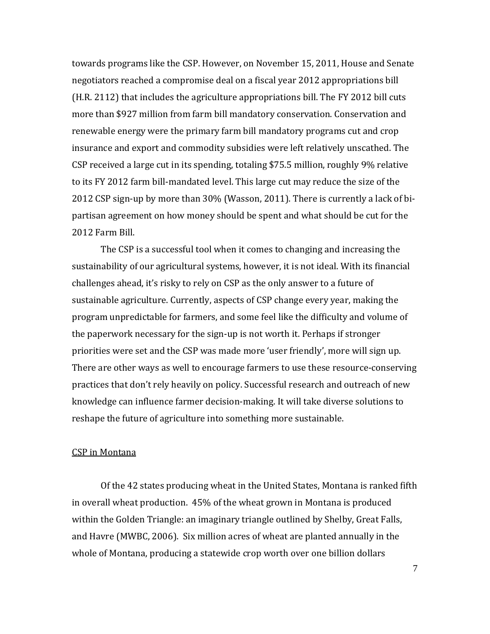towards programs like the CSP. However, on November 15, 2011, House and Senate negotiators reached a compromise deal on a fiscal year 2012 appropriations bill (H.R. 2112) that includes the agriculture appropriations bill. The FY 2012 bill cuts more than \$927 million from farm bill mandatory conservation. Conservation and renewable energy were the primary farm bill mandatory programs cut and crop insurance and export and commodity subsidies were left relatively unscathed. The CSP received a large cut in its spending, totaling \$75.5 million, roughly 9% relative to its FY 2012 farm bill-mandated level. This large cut may reduce the size of the 2012 CSP sign-up by more than 30% (Wasson, 2011). There is currently a lack of bipartisan agreement on how money should be spent and what should be cut for the 2012 Farm Bill.

The CSP is a successful tool when it comes to changing and increasing the sustainability of our agricultural systems, however, it is not ideal. With its financial challenges ahead, it's risky to rely on CSP as the only answer to a future of sustainable agriculture. Currently, aspects of CSP change every year, making the program unpredictable for farmers, and some feel like the difficulty and volume of the paperwork necessary for the sign-up is not worth it. Perhaps if stronger priorities were set and the CSP was made more 'user friendly', more will sign up. There are other ways as well to encourage farmers to use these resource-conserving practices that don't rely heavily on policy. Successful research and outreach of new knowledge can influence farmer decision-making. It will take diverse solutions to reshape the future of agriculture into something more sustainable.

#### CSP in Montana

 Of the 42 states producing wheat in the United States, Montana is ranked fifth in overall wheat production. 45% of the wheat grown in Montana is produced within the Golden Triangle: an imaginary triangle outlined by Shelby, Great Falls, and Havre (MWBC, 2006). Six million acres of wheat are planted annually in the whole of Montana, producing a statewide crop worth over one billion dollars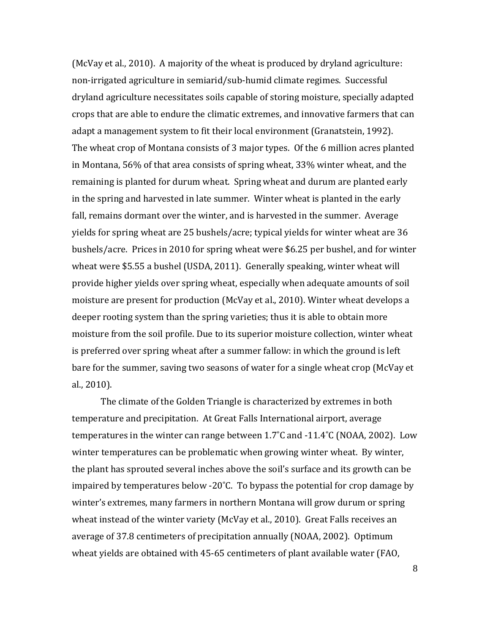(McVay et al., 2010). A majority of the wheat is produced by dryland agriculture: non-irrigated agriculture in semiarid/sub-humid climate regimes. Successful dryland agriculture necessitates soils capable of storing moisture, specially adapted crops that are able to endure the climatic extremes, and innovative farmers that can adapt a management system to fit their local environment (Granatstein, 1992). The wheat crop of Montana consists of 3 major types. Of the 6 million acres planted in Montana, 56% of that area consists of spring wheat, 33% winter wheat, and the remaining is planted for durum wheat. Spring wheat and durum are planted early in the spring and harvested in late summer. Winter wheat is planted in the early fall, remains dormant over the winter, and is harvested in the summer. Average yields for spring wheat are 25 bushels/acre; typical yields for winter wheat are 36 bushels/acre. Prices in 2010 for spring wheat were \$6.25 per bushel, and for winter wheat were \$5.55 a bushel (USDA, 2011). Generally speaking, winter wheat will provide higher yields over spring wheat, especially when adequate amounts of soil moisture are present for production (McVay et al., 2010). Winter wheat develops a deeper rooting system than the spring varieties; thus it is able to obtain more moisture from the soil profile. Due to its superior moisture collection, winter wheat is preferred over spring wheat after a summer fallow: in which the ground is left bare for the summer, saving two seasons of water for a single wheat crop (McVay et al., 2010).

The climate of the Golden Triangle is characterized by extremes in both temperature and precipitation. At Great Falls International airport, average temperatures in the winter can range between 1.7˚C and -11.4˚C (NOAA, 2002). Low winter temperatures can be problematic when growing winter wheat. By winter, the plant has sprouted several inches above the soil's surface and its growth can be impaired by temperatures below -20˚C. To bypass the potential for crop damage by winter's extremes, many farmers in northern Montana will grow durum or spring wheat instead of the winter variety (McVay et al., 2010). Great Falls receives an average of 37.8 centimeters of precipitation annually (NOAA, 2002). Optimum wheat yields are obtained with 45-65 centimeters of plant available water (FAO,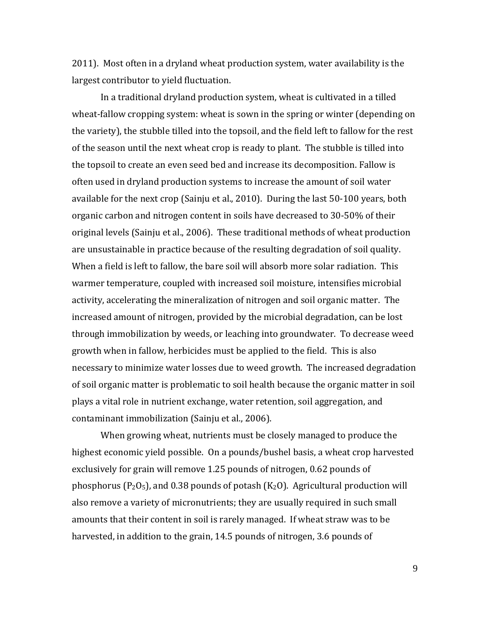2011). Most often in a dryland wheat production system, water availability is the largest contributor to yield fluctuation.

In a traditional dryland production system, wheat is cultivated in a tilled wheat-fallow cropping system: wheat is sown in the spring or winter (depending on the variety), the stubble tilled into the topsoil, and the field left to fallow for the rest of the season until the next wheat crop is ready to plant. The stubble is tilled into the topsoil to create an even seed bed and increase its decomposition. Fallow is often used in dryland production systems to increase the amount of soil water available for the next crop (Sainju et al., 2010). During the last 50-100 years, both organic carbon and nitrogen content in soils have decreased to 30-50% of their original levels (Sainju et al., 2006). These traditional methods of wheat production are unsustainable in practice because of the resulting degradation of soil quality. When a field is left to fallow, the bare soil will absorb more solar radiation. This warmer temperature, coupled with increased soil moisture, intensifies microbial activity, accelerating the mineralization of nitrogen and soil organic matter. The increased amount of nitrogen, provided by the microbial degradation, can be lost through immobilization by weeds, or leaching into groundwater. To decrease weed growth when in fallow, herbicides must be applied to the field. This is also necessary to minimize water losses due to weed growth. The increased degradation of soil organic matter is problematic to soil health because the organic matter in soil plays a vital role in nutrient exchange, water retention, soil aggregation, and contaminant immobilization (Sainju et al., 2006).

When growing wheat, nutrients must be closely managed to produce the highest economic yield possible. On a pounds/bushel basis, a wheat crop harvested exclusively for grain will remove 1.25 pounds of nitrogen, 0.62 pounds of phosphorus ( $P_2O_5$ ), and 0.38 pounds of potash ( $K_2O$ ). Agricultural production will also remove a variety of micronutrients; they are usually required in such small amounts that their content in soil is rarely managed. If wheat straw was to be harvested, in addition to the grain, 14.5 pounds of nitrogen, 3.6 pounds of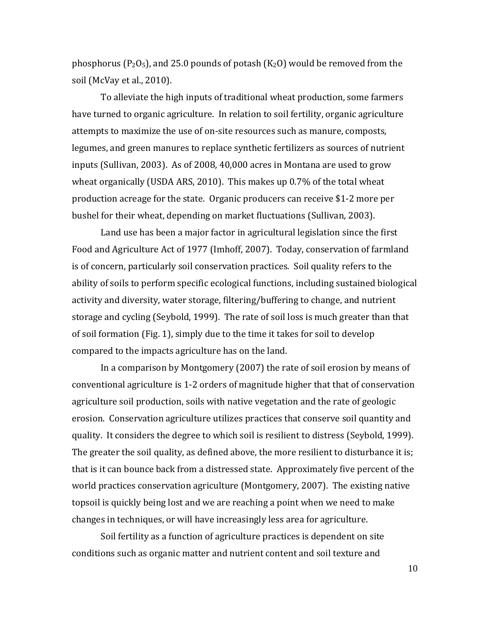phosphorus ( $P_2O_5$ ), and 25.0 pounds of potash (K<sub>2</sub>O) would be removed from the soil (McVay et al., 2010).

To alleviate the high inputs of traditional wheat production, some farmers have turned to organic agriculture. In relation to soil fertility, organic agriculture attempts to maximize the use of on-site resources such as manure, composts, legumes, and green manures to replace synthetic fertilizers as sources of nutrient inputs (Sullivan, 2003). As of 2008, 40,000 acres in Montana are used to grow wheat organically (USDA ARS, 2010). This makes up 0.7% of the total wheat production acreage for the state. Organic producers can receive \$1-2 more per bushel for their wheat, depending on market fluctuations (Sullivan, 2003).

Land use has been a major factor in agricultural legislation since the first Food and Agriculture Act of 1977 (Imhoff, 2007). Today, conservation of farmland is of concern, particularly soil conservation practices. Soil quality refers to the ability of soils to perform specific ecological functions, including sustained biological activity and diversity, water storage, filtering/buffering to change, and nutrient storage and cycling (Seybold, 1999). The rate of soil loss is much greater than that of soil formation (Fig. 1), simply due to the time it takes for soil to develop compared to the impacts agriculture has on the land.

In a comparison by Montgomery (2007) the rate of soil erosion by means of conventional agriculture is 1-2 orders of magnitude higher that that of conservation agriculture soil production, soils with native vegetation and the rate of geologic erosion. Conservation agriculture utilizes practices that conserve soil quantity and quality. It considers the degree to which soil is resilient to distress (Seybold, 1999). The greater the soil quality, as defined above, the more resilient to disturbance it is; that is it can bounce back from a distressed state. Approximately five percent of the world practices conservation agriculture (Montgomery, 2007). The existing native topsoil is quickly being lost and we are reaching a point when we need to make changes in techniques, or will have increasingly less area for agriculture.

Soil fertility as a function of agriculture practices is dependent on site conditions such as organic matter and nutrient content and soil texture and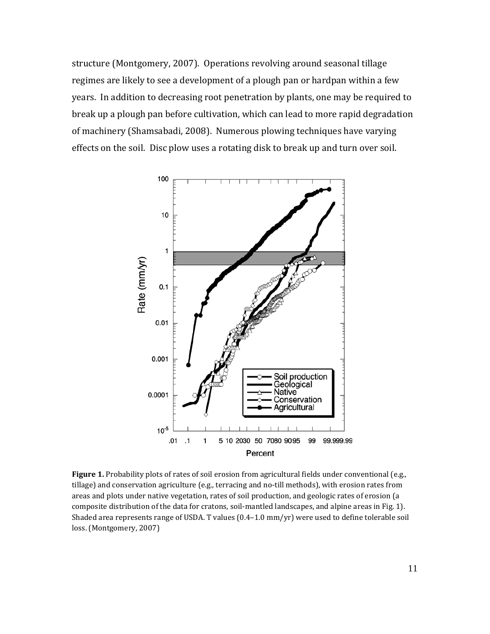structure (Montgomery, 2007). Operations revolving around seasonal tillage regimes are likely to see a development of a plough pan or hardpan within a few years. In addition to decreasing root penetration by plants, one may be required to break up a plough pan before cultivation, which can lead to more rapid degradation of machinery (Shamsabadi, 2008). Numerous plowing techniques have varying effects on the soil. Disc plow uses a rotating disk to break up and turn over soil.



Figure 1. Probability plots of rates of soil erosion from agricultural fields under conventional (e.g., tillage) and conservation agriculture (e.g., terracing and no-till methods), with erosion rates from areas and plots under native vegetation, rates of soil production, and geologic rates of erosion (a composite distribution of the data for cratons, soil-mantled landscapes, and alpine areas in Fig. 1). Shaded area represents range of USDA. T values (0.4–1.0 mm/yr) were used to define tolerable soil loss. (Montgomery, 2007)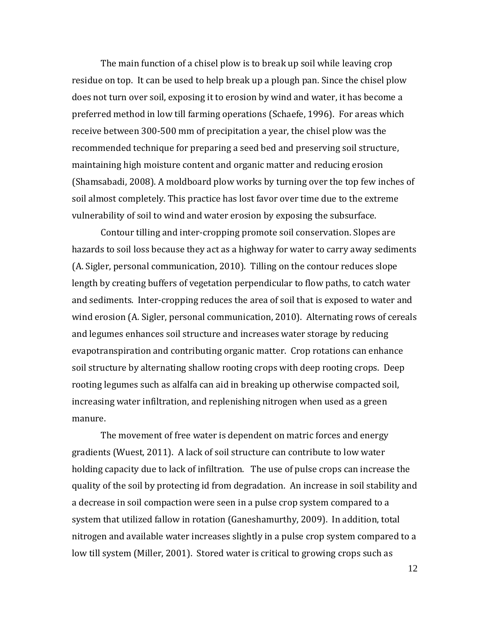The main function of a chisel plow is to break up soil while leaving crop residue on top. It can be used to help break up a plough pan. Since the chisel plow does not turn over soil, exposing it to erosion by wind and water, it has become a preferred method in low till farming operations (Schaefe, 1996). For areas which receive between 300-500 mm of precipitation a year, the chisel plow was the recommended technique for preparing a seed bed and preserving soil structure, maintaining high moisture content and organic matter and reducing erosion (Shamsabadi, 2008). A moldboard plow works by turning over the top few inches of soil almost completely. This practice has lost favor over time due to the extreme vulnerability of soil to wind and water erosion by exposing the subsurface.

Contour tilling and inter-cropping promote soil conservation. Slopes are hazards to soil loss because they act as a highway for water to carry away sediments (A. Sigler, personal communication, 2010). Tilling on the contour reduces slope length by creating buffers of vegetation perpendicular to flow paths, to catch water and sediments. Inter-cropping reduces the area of soil that is exposed to water and wind erosion (A. Sigler, personal communication, 2010). Alternating rows of cereals and legumes enhances soil structure and increases water storage by reducing evapotranspiration and contributing organic matter. Crop rotations can enhance soil structure by alternating shallow rooting crops with deep rooting crops. Deep rooting legumes such as alfalfa can aid in breaking up otherwise compacted soil, increasing water infiltration, and replenishing nitrogen when used as a green manure.

The movement of free water is dependent on matric forces and energy gradients (Wuest, 2011). A lack of soil structure can contribute to low water holding capacity due to lack of infiltration. The use of pulse crops can increase the quality of the soil by protecting id from degradation. An increase in soil stability and a decrease in soil compaction were seen in a pulse crop system compared to a system that utilized fallow in rotation (Ganeshamurthy, 2009). In addition, total nitrogen and available water increases slightly in a pulse crop system compared to a low till system (Miller, 2001). Stored water is critical to growing crops such as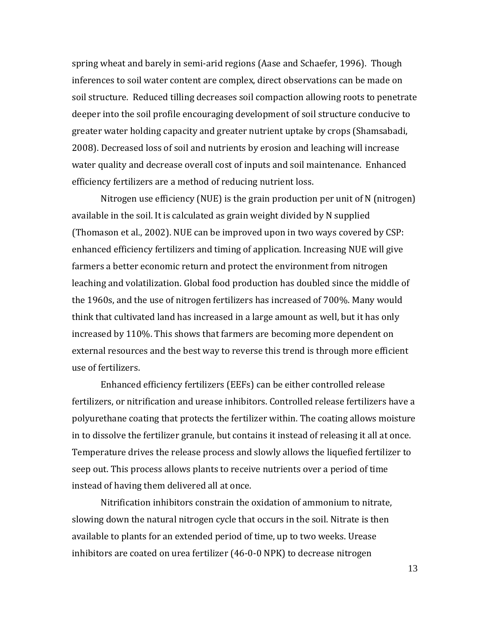spring wheat and barely in semi-arid regions (Aase and Schaefer, 1996). Though inferences to soil water content are complex, direct observations can be made on soil structure. Reduced tilling decreases soil compaction allowing roots to penetrate deeper into the soil profile encouraging development of soil structure conducive to greater water holding capacity and greater nutrient uptake by crops (Shamsabadi, 2008). Decreased loss of soil and nutrients by erosion and leaching will increase water quality and decrease overall cost of inputs and soil maintenance. Enhanced efficiency fertilizers are a method of reducing nutrient loss.

Nitrogen use efficiency (NUE) is the grain production per unit of N (nitrogen) available in the soil. It is calculated as grain weight divided by N supplied (Thomason et al., 2002). NUE can be improved upon in two ways covered by CSP: enhanced efficiency fertilizers and timing of application. Increasing NUE will give farmers a better economic return and protect the environment from nitrogen leaching and volatilization. Global food production has doubled since the middle of the 1960s, and the use of nitrogen fertilizers has increased of 700%. Many would think that cultivated land has increased in a large amount as well, but it has only increased by 110%. This shows that farmers are becoming more dependent on external resources and the best way to reverse this trend is through more efficient use of fertilizers.

Enhanced efficiency fertilizers (EEFs) can be either controlled release fertilizers, or nitrification and urease inhibitors. Controlled release fertilizers have a polyurethane coating that protects the fertilizer within. The coating allows moisture in to dissolve the fertilizer granule, but contains it instead of releasing it all at once. Temperature drives the release process and slowly allows the liquefied fertilizer to seep out. This process allows plants to receive nutrients over a period of time instead of having them delivered all at once.

Nitrification inhibitors constrain the oxidation of ammonium to nitrate, slowing down the natural nitrogen cycle that occurs in the soil. Nitrate is then available to plants for an extended period of time, up to two weeks. Urease inhibitors are coated on urea fertilizer (46-0-0 NPK) to decrease nitrogen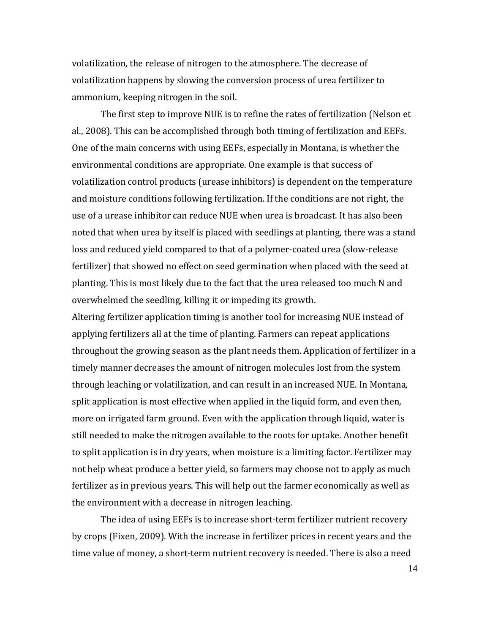volatilization, the release of nitrogen to the atmosphere. The decrease of volatilization happens by slowing the conversion process of urea fertilizer to ammonium, keeping nitrogen in the soil.

The first step to improve NUE is to refine the rates of fertilization (Nelson et al., 2008). This can be accomplished through both timing of fertilization and EEFs. One of the main concerns with using EEFs, especially in Montana, is whether the environmental conditions are appropriate. One example is that success of volatilization control products (urease inhibitors) is dependent on the temperature and moisture conditions following fertilization. If the conditions are not right, the use of a urease inhibitor can reduce NUE when urea is broadcast. It has also been noted that when urea by itself is placed with seedlings at planting, there was a stand loss and reduced yield compared to that of a polymer-coated urea (slow-release fertilizer) that showed no effect on seed germination when placed with the seed at planting. This is most likely due to the fact that the urea released too much N and overwhelmed the seedling, killing it or impeding its growth.

Altering fertilizer application timing is another tool for increasing NUE instead of applying fertilizers all at the time of planting. Farmers can repeat applications throughout the growing season as the plant needs them. Application of fertilizer in a timely manner decreases the amount of nitrogen molecules lost from the system through leaching or volatilization, and can result in an increased NUE. In Montana, split application is most effective when applied in the liquid form, and even then, more on irrigated farm ground. Even with the application through liquid, water is still needed to make the nitrogen available to the roots for uptake. Another benefit to split application is in dry years, when moisture is a limiting factor. Fertilizer may not help wheat produce a better yield, so farmers may choose not to apply as much fertilizer as in previous years. This will help out the farmer economically as well as the environment with a decrease in nitrogen leaching.

The idea of using EEFs is to increase short-term fertilizer nutrient recovery by crops (Fixen, 2009). With the increase in fertilizer prices in recent years and the time value of money, a short-term nutrient recovery is needed. There is also a need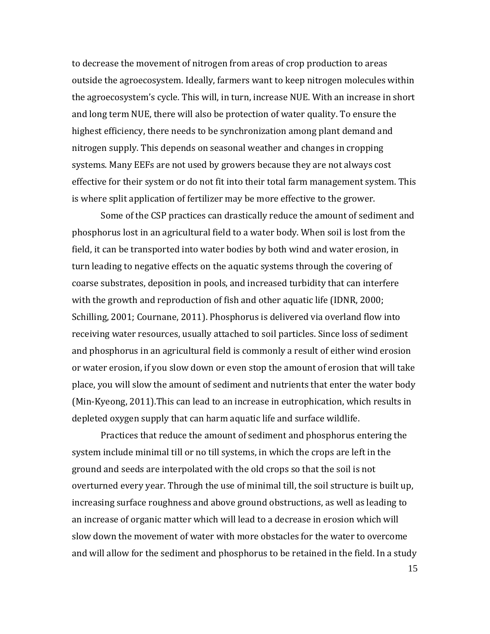to decrease the movement of nitrogen from areas of crop production to areas outside the agroecosystem. Ideally, farmers want to keep nitrogen molecules within the agroecosystem's cycle. This will, in turn, increase NUE. With an increase in short and long term NUE, there will also be protection of water quality. To ensure the highest efficiency, there needs to be synchronization among plant demand and nitrogen supply. This depends on seasonal weather and changes in cropping systems. Many EEFs are not used by growers because they are not always cost effective for their system or do not fit into their total farm management system. This is where split application of fertilizer may be more effective to the grower.

 Some of the CSP practices can drastically reduce the amount of sediment and phosphorus lost in an agricultural field to a water body. When soil is lost from the field, it can be transported into water bodies by both wind and water erosion, in turn leading to negative effects on the aquatic systems through the covering of coarse substrates, deposition in pools, and increased turbidity that can interfere with the growth and reproduction of fish and other aquatic life (IDNR, 2000; Schilling, 2001; Cournane, 2011). Phosphorus is delivered via overland flow into receiving water resources, usually attached to soil particles. Since loss of sediment and phosphorus in an agricultural field is commonly a result of either wind erosion or water erosion, if you slow down or even stop the amount of erosion that will take place, you will slow the amount of sediment and nutrients that enter the water body (Min-Kyeong, 2011).This can lead to an increase in eutrophication, which results in depleted oxygen supply that can harm aquatic life and surface wildlife.

Practices that reduce the amount of sediment and phosphorus entering the system include minimal till or no till systems, in which the crops are left in the ground and seeds are interpolated with the old crops so that the soil is not overturned every year. Through the use of minimal till, the soil structure is built up, increasing surface roughness and above ground obstructions, as well as leading to an increase of organic matter which will lead to a decrease in erosion which will slow down the movement of water with more obstacles for the water to overcome and will allow for the sediment and phosphorus to be retained in the field. In a study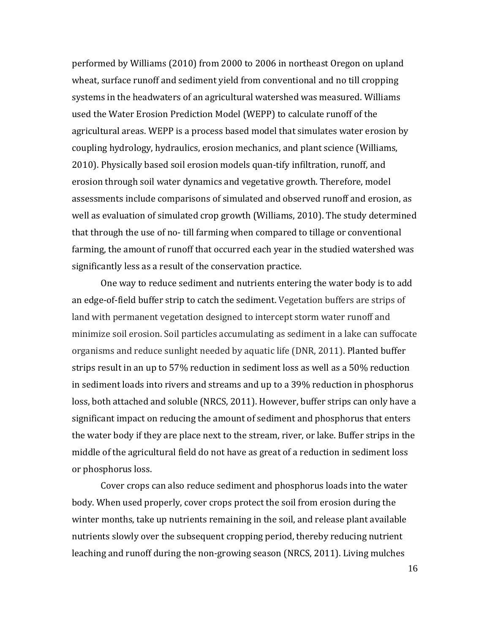performed by Williams (2010) from 2000 to 2006 in northeast Oregon on upland wheat, surface runoff and sediment yield from conventional and no till cropping systems in the headwaters of an agricultural watershed was measured. Williams used the Water Erosion Prediction Model (WEPP) to calculate runoff of the agricultural areas. WEPP is a process based model that simulates water erosion by coupling hydrology, hydraulics, erosion mechanics, and plant science (Williams, 2010). Physically based soil erosion models quan-tify infiltration, runoff, and erosion through soil water dynamics and vegetative growth. Therefore, model assessments include comparisons of simulated and observed runoff and erosion, as well as evaluation of simulated crop growth (Williams, 2010). The study determined that through the use of no- till farming when compared to tillage or conventional farming, the amount of runoff that occurred each year in the studied watershed was significantly less as a result of the conservation practice.

One way to reduce sediment and nutrients entering the water body is to add an edge-of-field buffer strip to catch the sediment. Vegetation buffers are strips of land with permanent vegetation designed to intercept storm water runoff and minimize soil erosion. Soil particles accumulating as sediment in a lake can suffocate organisms and reduce sunlight needed by aquatic life (DNR, 2011). Planted buffer strips result in an up to 57% reduction in sediment loss as well as a 50% reduction in sediment loads into rivers and streams and up to a 39% reduction in phosphorus loss, both attached and soluble (NRCS, 2011). However, buffer strips can only have a significant impact on reducing the amount of sediment and phosphorus that enters the water body if they are place next to the stream, river, or lake. Buffer strips in the middle of the agricultural field do not have as great of a reduction in sediment loss or phosphorus loss.

Cover crops can also reduce sediment and phosphorus loads into the water body. When used properly, cover crops protect the soil from erosion during the winter months, take up nutrients remaining in the soil, and release plant available nutrients slowly over the subsequent cropping period, thereby reducing nutrient leaching and runoff during the non-growing season (NRCS, 2011). Living mulches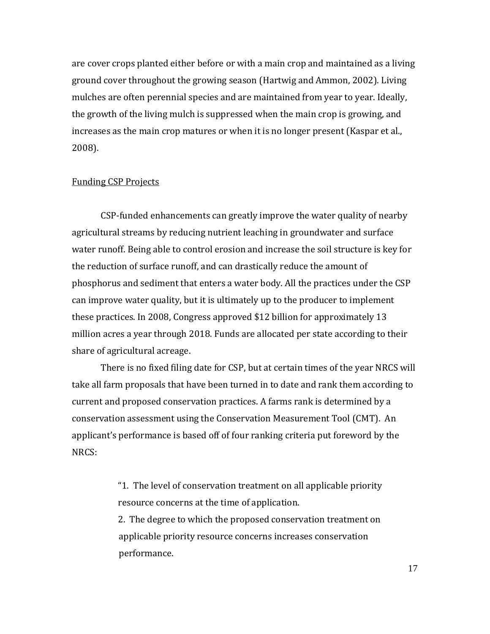are cover crops planted either before or with a main crop and maintained as a living ground cover throughout the growing season (Hartwig and Ammon, 2002). Living mulches are often perennial species and are maintained from year to year. Ideally, the growth of the living mulch is suppressed when the main crop is growing, and increases as the main crop matures or when it is no longer present (Kaspar et al., 2008).

#### Funding CSP Projects

CSP-funded enhancements can greatly improve the water quality of nearby agricultural streams by reducing nutrient leaching in groundwater and surface water runoff. Being able to control erosion and increase the soil structure is key for the reduction of surface runoff, and can drastically reduce the amount of phosphorus and sediment that enters a water body. All the practices under the CSP can improve water quality, but it is ultimately up to the producer to implement these practices. In 2008, Congress approved \$12 billion for approximately 13 million acres a year through 2018. Funds are allocated per state according to their share of agricultural acreage.

There is no fixed filing date for CSP, but at certain times of the year NRCS will take all farm proposals that have been turned in to date and rank them according to current and proposed conservation practices. A farms rank is determined by a conservation assessment using the Conservation Measurement Tool (CMT). An applicant's performance is based off of four ranking criteria put foreword by the NRCS:

> "1. The level of conservation treatment on all applicable priority resource concerns at the time of application.

> 2. The degree to which the proposed conservation treatment on applicable priority resource concerns increases conservation performance.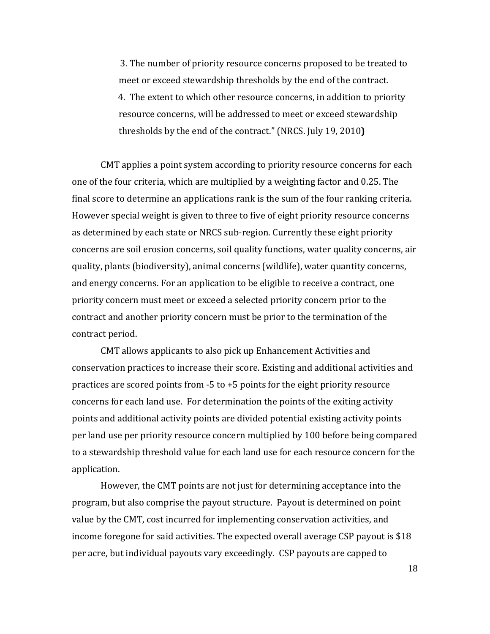3. The number of priority resource concerns proposed to be treated to meet or exceed stewardship thresholds by the end of the contract. 4. The extent to which other resource concerns, in addition to priority resource concerns, will be addressed to meet or exceed stewardship thresholds by the end of the contract." (NRCS. July 19, 2010**)**

CMT applies a point system according to priority resource concerns for each one of the four criteria, which are multiplied by a weighting factor and 0.25. The final score to determine an applications rank is the sum of the four ranking criteria. However special weight is given to three to five of eight priority resource concerns as determined by each state or NRCS sub-region. Currently these eight priority concerns are soil erosion concerns, soil quality functions, water quality concerns, air quality, plants (biodiversity), animal concerns (wildlife), water quantity concerns, and energy concerns. For an application to be eligible to receive a contract, one priority concern must meet or exceed a selected priority concern prior to the contract and another priority concern must be prior to the termination of the contract period.

 CMT allows applicants to also pick up Enhancement Activities and conservation practices to increase their score. Existing and additional activities and practices are scored points from -5 to +5 points for the eight priority resource concerns for each land use. For determination the points of the exiting activity points and additional activity points are divided potential existing activity points per land use per priority resource concern multiplied by 100 before being compared to a stewardship threshold value for each land use for each resource concern for the application.

 However, the CMT points are not just for determining acceptance into the program, but also comprise the payout structure. Payout is determined on point value by the CMT, cost incurred for implementing conservation activities, and income foregone for said activities. The expected overall average CSP payout is \$18 per acre, but individual payouts vary exceedingly. CSP payouts are capped to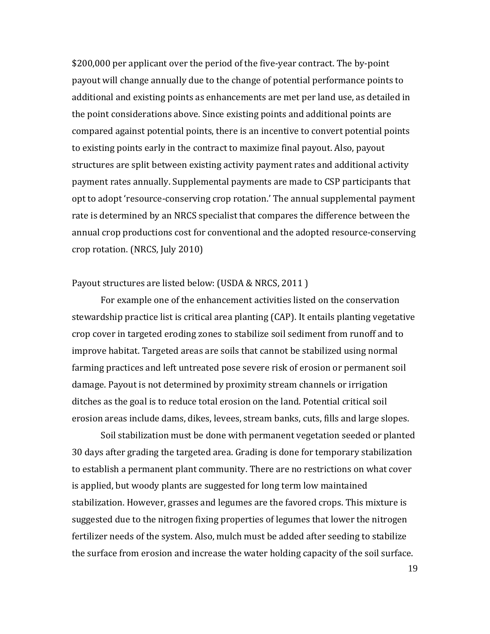\$200,000 per applicant over the period of the five-year contract. The by-point payout will change annually due to the change of potential performance points to additional and existing points as enhancements are met per land use, as detailed in the point considerations above. Since existing points and additional points are compared against potential points, there is an incentive to convert potential points to existing points early in the contract to maximize final payout. Also, payout structures are split between existing activity payment rates and additional activity payment rates annually. Supplemental payments are made to CSP participants that opt to adopt 'resource-conserving crop rotation.' The annual supplemental payment rate is determined by an NRCS specialist that compares the difference between the annual crop productions cost for conventional and the adopted resource-conserving crop rotation. (NRCS, July 2010)

#### Payout structures are listed below: (USDA & NRCS, 2011 )

 For example one of the enhancement activities listed on the conservation stewardship practice list is critical area planting (CAP). It entails planting vegetative crop cover in targeted eroding zones to stabilize soil sediment from runoff and to improve habitat. Targeted areas are soils that cannot be stabilized using normal farming practices and left untreated pose severe risk of erosion or permanent soil damage. Payout is not determined by proximity stream channels or irrigation ditches as the goal is to reduce total erosion on the land. Potential critical soil erosion areas include dams, dikes, levees, stream banks, cuts, fills and large slopes.

 Soil stabilization must be done with permanent vegetation seeded or planted 30 days after grading the targeted area. Grading is done for temporary stabilization to establish a permanent plant community. There are no restrictions on what cover is applied, but woody plants are suggested for long term low maintained stabilization. However, grasses and legumes are the favored crops. This mixture is suggested due to the nitrogen fixing properties of legumes that lower the nitrogen fertilizer needs of the system. Also, mulch must be added after seeding to stabilize the surface from erosion and increase the water holding capacity of the soil surface.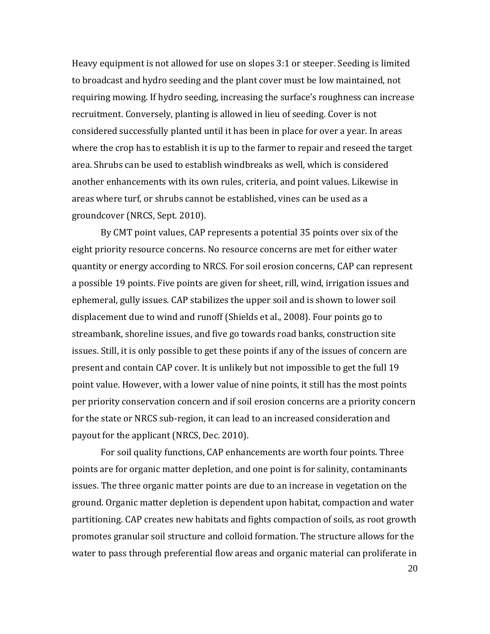Heavy equipment is not allowed for use on slopes 3:1 or steeper. Seeding is limited to broadcast and hydro seeding and the plant cover must be low maintained, not requiring mowing. If hydro seeding, increasing the surface's roughness can increase recruitment. Conversely, planting is allowed in lieu of seeding. Cover is not considered successfully planted until it has been in place for over a year. In areas where the crop has to establish it is up to the farmer to repair and reseed the target area. Shrubs can be used to establish windbreaks as well, which is considered another enhancements with its own rules, criteria, and point values. Likewise in areas where turf, or shrubs cannot be established, vines can be used as a groundcover (NRCS, Sept. 2010).

 By CMT point values, CAP represents a potential 35 points over six of the eight priority resource concerns. No resource concerns are met for either water quantity or energy according to NRCS. For soil erosion concerns, CAP can represent a possible 19 points. Five points are given for sheet, rill, wind, irrigation issues and ephemeral, gully issues. CAP stabilizes the upper soil and is shown to lower soil displacement due to wind and runoff (Shields et al., 2008). Four points go to streambank, shoreline issues, and five go towards road banks, construction site issues. Still, it is only possible to get these points if any of the issues of concern are present and contain CAP cover. It is unlikely but not impossible to get the full 19 point value. However, with a lower value of nine points, it still has the most points per priority conservation concern and if soil erosion concerns are a priority concern for the state or NRCS sub-region, it can lead to an increased consideration and payout for the applicant (NRCS, Dec. 2010).

 For soil quality functions, CAP enhancements are worth four points. Three points are for organic matter depletion, and one point is for salinity, contaminants issues. The three organic matter points are due to an increase in vegetation on the ground. Organic matter depletion is dependent upon habitat, compaction and water partitioning. CAP creates new habitats and fights compaction of soils, as root growth promotes granular soil structure and colloid formation. The structure allows for the water to pass through preferential flow areas and organic material can proliferate in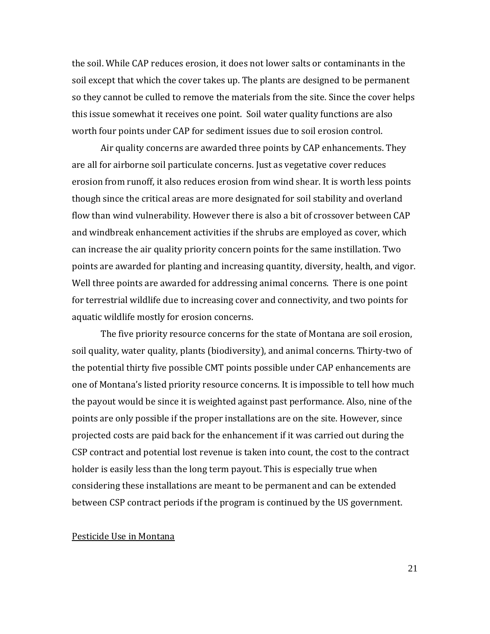the soil. While CAP reduces erosion, it does not lower salts or contaminants in the soil except that which the cover takes up. The plants are designed to be permanent so they cannot be culled to remove the materials from the site. Since the cover helps this issue somewhat it receives one point. Soil water quality functions are also worth four points under CAP for sediment issues due to soil erosion control.

 Air quality concerns are awarded three points by CAP enhancements. They are all for airborne soil particulate concerns. Just as vegetative cover reduces erosion from runoff, it also reduces erosion from wind shear. It is worth less points though since the critical areas are more designated for soil stability and overland flow than wind vulnerability. However there is also a bit of crossover between CAP and windbreak enhancement activities if the shrubs are employed as cover, which can increase the air quality priority concern points for the same instillation. Two points are awarded for planting and increasing quantity, diversity, health, and vigor. Well three points are awarded for addressing animal concerns. There is one point for terrestrial wildlife due to increasing cover and connectivity, and two points for aquatic wildlife mostly for erosion concerns.

 The five priority resource concerns for the state of Montana are soil erosion, soil quality, water quality, plants (biodiversity), and animal concerns. Thirty-two of the potential thirty five possible CMT points possible under CAP enhancements are one of Montana's listed priority resource concerns. It is impossible to tell how much the payout would be since it is weighted against past performance. Also, nine of the points are only possible if the proper installations are on the site. However, since projected costs are paid back for the enhancement if it was carried out during the CSP contract and potential lost revenue is taken into count, the cost to the contract holder is easily less than the long term payout. This is especially true when considering these installations are meant to be permanent and can be extended between CSP contract periods if the program is continued by the US government.

#### Pesticide Use in Montana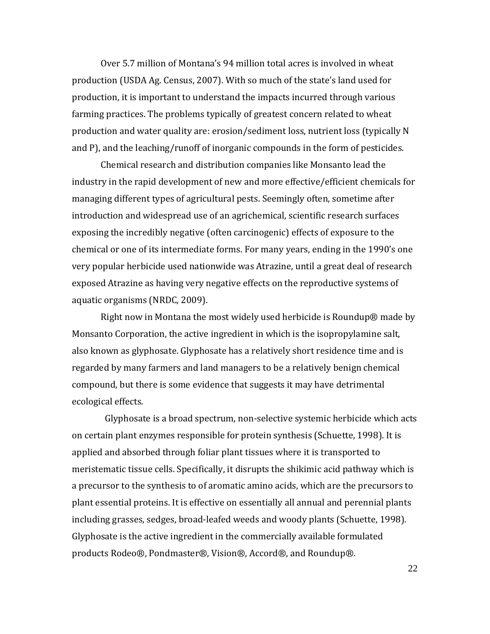Over 5.7 million of Montana's 94 million total acres is involved in wheat production (USDA Ag. Census, 2007). With so much of the state's land used for production, it is important to understand the impacts incurred through various farming practices. The problems typically of greatest concern related to wheat production and water quality are: erosion/sediment loss, nutrient loss (typically N and P), and the leaching/runoff of inorganic compounds in the form of pesticides.

Chemical research and distribution companies like Monsanto lead the industry in the rapid development of new and more effective/efficient chemicals for managing different types of agricultural pests. Seemingly often, sometime after introduction and widespread use of an agrichemical, scientific research surfaces exposing the incredibly negative (often carcinogenic) effects of exposure to the chemical or one of its intermediate forms. For many years, ending in the 1990's one very popular herbicide used nationwide was Atrazine, until a great deal of research exposed Atrazine as having very negative effects on the reproductive systems of aquatic organisms (NRDC, 2009).

Right now in Montana the most widely used herbicide is Roundup® made by Monsanto Corporation, the active ingredient in which is the isopropylamine salt, also known as glyphosate. Glyphosate has a relatively short residence time and is regarded by many farmers and land managers to be a relatively benign chemical compound, but there is some evidence that suggests it may have detrimental ecological effects.

 Glyphosate is a broad spectrum, non-selective systemic herbicide which acts on certain plant enzymes responsible for protein synthesis (Schuette, 1998). It is applied and absorbed through foliar plant tissues where it is transported to meristematic tissue cells. Specifically, it disrupts the shikimic acid pathway which is a precursor to the synthesis to of aromatic amino acids, which are the precursors to plant essential proteins. It is effective on essentially all annual and perennial plants including grasses, sedges, broad-leafed weeds and woody plants (Schuette, 1998). Glyphosate is the active ingredient in the commercially available formulated products Rodeo®, Pondmaster®, Vision®, Accord®, and Roundup®.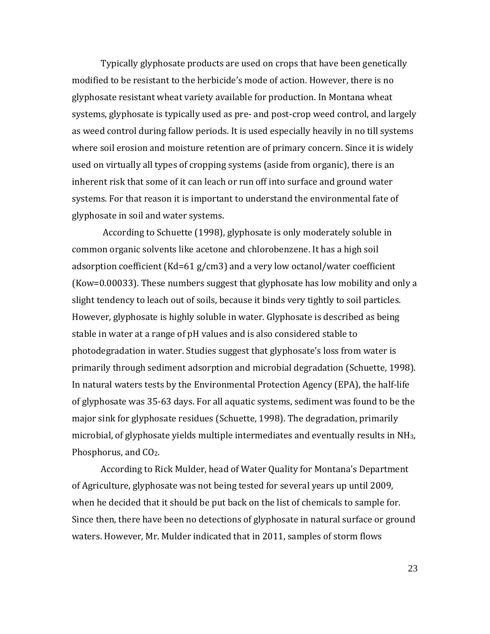Typically glyphosate products are used on crops that have been genetically modified to be resistant to the herbicide's mode of action. However, there is no glyphosate resistant wheat variety available for production. In Montana wheat systems, glyphosate is typically used as pre- and post-crop weed control, and largely as weed control during fallow periods. It is used especially heavily in no till systems where soil erosion and moisture retention are of primary concern. Since it is widely used on virtually all types of cropping systems (aside from organic), there is an inherent risk that some of it can leach or run off into surface and ground water systems. For that reason it is important to understand the environmental fate of glyphosate in soil and water systems.

According to Schuette (1998), glyphosate is only moderately soluble in common organic solvents like acetone and chlorobenzene. It has a high soil adsorption coefficient (Kd=61 g/cm3) and a very low octanol/water coefficient (Kow=0.00033). These numbers suggest that glyphosate has low mobility and only a slight tendency to leach out of soils, because it binds very tightly to soil particles. However, glyphosate is highly soluble in water. Glyphosate is described as being stable in water at a range of pH values and is also considered stable to photodegradation in water. Studies suggest that glyphosate's loss from water is primarily through sediment adsorption and microbial degradation (Schuette, 1998). In natural waters tests by the Environmental Protection Agency (EPA), the half-life of glyphosate was 35-63 days. For all aquatic systems, sediment was found to be the major sink for glyphosate residues (Schuette, 1998). The degradation, primarily microbial, of glyphosate yields multiple intermediates and eventually results in  $NH<sub>3</sub>$ , Phosphorus, and CO<sub>2</sub>.

According to Rick Mulder, head of Water Quality for Montana's Department of Agriculture, glyphosate was not being tested for several years up until 2009, when he decided that it should be put back on the list of chemicals to sample for. Since then, there have been no detections of glyphosate in natural surface or ground waters. However, Mr. Mulder indicated that in 2011, samples of storm flows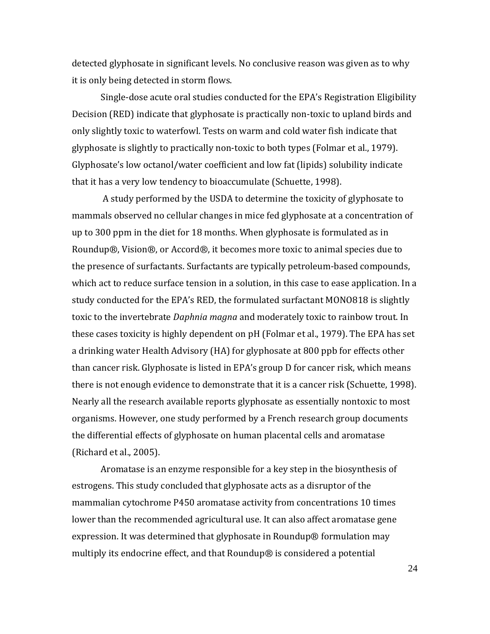detected glyphosate in significant levels. No conclusive reason was given as to why it is only being detected in storm flows.

Single-dose acute oral studies conducted for the EPA's Registration Eligibility Decision (RED) indicate that glyphosate is practically non-toxic to upland birds and only slightly toxic to waterfowl. Tests on warm and cold water fish indicate that glyphosate is slightly to practically non-toxic to both types (Folmar et al., 1979). Glyphosate's low octanol/water coefficient and low fat (lipids) solubility indicate that it has a very low tendency to bioaccumulate (Schuette, 1998).

A study performed by the USDA to determine the toxicity of glyphosate to mammals observed no cellular changes in mice fed glyphosate at a concentration of up to 300 ppm in the diet for 18 months. When glyphosate is formulated as in Roundup®, Vision®, or Accord®, it becomes more toxic to animal species due to the presence of surfactants. Surfactants are typically petroleum-based compounds, which act to reduce surface tension in a solution, in this case to ease application. In a study conducted for the EPA's RED, the formulated surfactant MONO818 is slightly toxic to the invertebrate *Daphnia magna* and moderately toxic to rainbow trout. In these cases toxicity is highly dependent on pH (Folmar et al., 1979). The EPA has set a drinking water Health Advisory (HA) for glyphosate at 800 ppb for effects other than cancer risk. Glyphosate is listed in EPA's group D for cancer risk, which means there is not enough evidence to demonstrate that it is a cancer risk (Schuette, 1998). Nearly all the research available reports glyphosate as essentially nontoxic to most organisms. However, one study performed by a French research group documents the differential effects of glyphosate on human placental cells and aromatase (Richard et al., 2005).

 Aromatase is an enzyme responsible for a key step in the biosynthesis of estrogens. This study concluded that glyphosate acts as a disruptor of the mammalian cytochrome P450 aromatase activity from concentrations 10 times lower than the recommended agricultural use. It can also affect aromatase gene expression. It was determined that glyphosate in Roundup® formulation may multiply its endocrine effect, and that Roundup® is considered a potential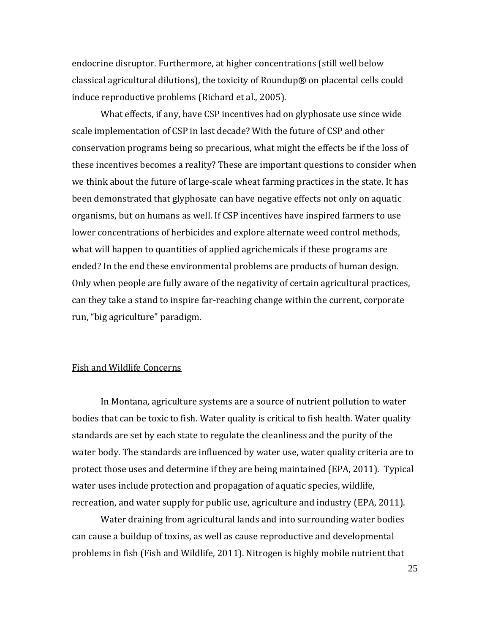endocrine disruptor. Furthermore, at higher concentrations (still well below classical agricultural dilutions), the toxicity of Roundup® on placental cells could induce reproductive problems (Richard et al., 2005).

What effects, if any, have CSP incentives had on glyphosate use since wide scale implementation of CSP in last decade? With the future of CSP and other conservation programs being so precarious, what might the effects be if the loss of these incentives becomes a reality? These are important questions to consider when we think about the future of large-scale wheat farming practices in the state. It has been demonstrated that glyphosate can have negative effects not only on aquatic organisms, but on humans as well. If CSP incentives have inspired farmers to use lower concentrations of herbicides and explore alternate weed control methods, what will happen to quantities of applied agrichemicals if these programs are ended? In the end these environmental problems are products of human design. Only when people are fully aware of the negativity of certain agricultural practices, can they take a stand to inspire far-reaching change within the current, corporate run, "big agriculture" paradigm.

#### Fish and Wildlife Concerns

In Montana, agriculture systems are a source of nutrient pollution to water bodies that can be toxic to fish. Water quality is critical to fish health. Water quality standards are set by each state to regulate the cleanliness and the purity of the water body. The standards are influenced by water use, water quality criteria are to protect those uses and determine if they are being maintained (EPA, 2011). Typical water uses include protection and propagation of aquatic species, wildlife, recreation, and water supply for public use, agriculture and industry (EPA, 2011).

 Water draining from agricultural lands and into surrounding water bodies can cause a buildup of toxins, as well as cause reproductive and developmental problems in fish (Fish and Wildlife, 2011). Nitrogen is highly mobile nutrient that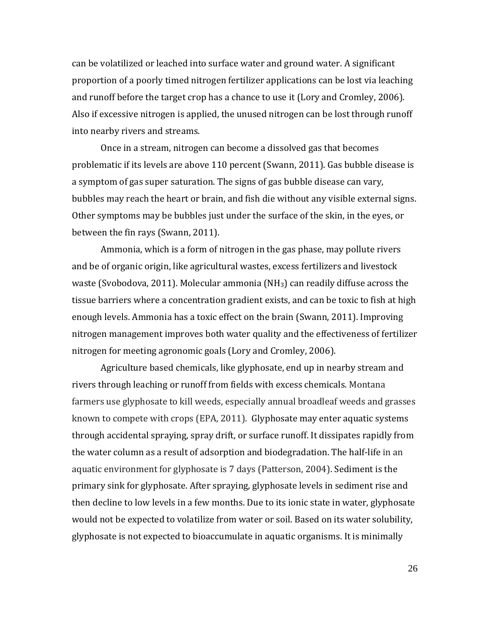can be volatilized or leached into surface water and ground water. A significant proportion of a poorly timed nitrogen fertilizer applications can be lost via leaching and runoff before the target crop has a chance to use it (Lory and Cromley, 2006). Also if excessive nitrogen is applied, the unused nitrogen can be lost through runoff into nearby rivers and streams.

 Once in a stream, nitrogen can become a dissolved gas that becomes problematic if its levels are above 110 percent (Swann, 2011). Gas bubble disease is a symptom of gas super saturation. The signs of gas bubble disease can vary, bubbles may reach the heart or brain, and fish die without any visible external signs. Other symptoms may be bubbles just under the surface of the skin, in the eyes, or between the fin rays (Swann, 2011).

 Ammonia, which is a form of nitrogen in the gas phase, may pollute rivers and be of organic origin, like agricultural wastes, excess fertilizers and livestock waste (Svobodova, 2011). Molecular ammonia (NH3) can readily diffuse across the tissue barriers where a concentration gradient exists, and can be toxic to fish at high enough levels. Ammonia has a toxic effect on the brain (Swann, 2011). Improving nitrogen management improves both water quality and the effectiveness of fertilizer nitrogen for meeting agronomic goals (Lory and Cromley, 2006).

 Agriculture based chemicals, like glyphosate, end up in nearby stream and rivers through leaching or runoff from fields with excess chemicals. Montana farmers use glyphosate to kill weeds, especially annual broadleaf weeds and grasses known to compete with crops (EPA, 2011). Glyphosate may enter aquatic systems through accidental spraying, spray drift, or surface runoff. It dissipates rapidly from the water column as a result of adsorption and biodegradation. The half-life in an aquatic environment for glyphosate is 7 days (Patterson, 2004). Sediment is the primary sink for glyphosate. After spraying, glyphosate levels in sediment rise and then decline to low levels in a few months. Due to its ionic state in water, glyphosate would not be expected to volatilize from water or soil. Based on its water solubility, glyphosate is not expected to bioaccumulate in aquatic organisms. It is minimally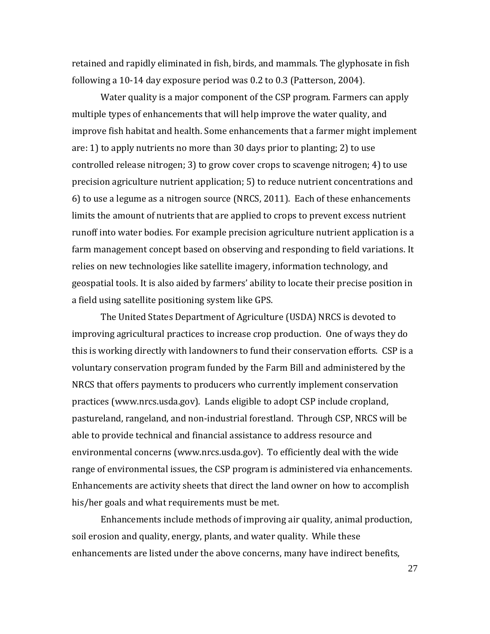retained and rapidly eliminated in fish, birds, and mammals. The glyphosate in fish following a 10-14 day exposure period was 0.2 to 0.3 (Patterson, 2004).

 Water quality is a major component of the CSP program. Farmers can apply multiple types of enhancements that will help improve the water quality, and improve fish habitat and health. Some enhancements that a farmer might implement are: 1) to apply nutrients no more than 30 days prior to planting; 2) to use controlled release nitrogen; 3) to grow cover crops to scavenge nitrogen; 4) to use precision agriculture nutrient application; 5) to reduce nutrient concentrations and 6) to use a legume as a nitrogen source (NRCS, 2011). Each of these enhancements limits the amount of nutrients that are applied to crops to prevent excess nutrient runoff into water bodies. For example precision agriculture nutrient application is a farm management concept based on observing and responding to field variations. It relies on new technologies like satellite imagery, information technology, and geospatial tools. It is also aided by farmers' ability to locate their precise position in a field using satellite positioning system like GPS.

The United States Department of Agriculture (USDA) NRCS is devoted to improving agricultural practices to increase crop production. One of ways they do this is working directly with landowners to fund their conservation efforts. CSP is a voluntary conservation program funded by the Farm Bill and administered by the NRCS that offers payments to producers who currently implement conservation practices (www.nrcs.usda.gov). Lands eligible to adopt CSP include cropland, pastureland, rangeland, and non-industrial forestland. Through CSP, NRCS will be able to provide technical and financial assistance to address resource and environmental concerns (www.nrcs.usda.gov). To efficiently deal with the wide range of environmental issues, the CSP program is administered via enhancements. Enhancements are activity sheets that direct the land owner on how to accomplish his/her goals and what requirements must be met.

Enhancements include methods of improving air quality, animal production, soil erosion and quality, energy, plants, and water quality. While these enhancements are listed under the above concerns, many have indirect benefits,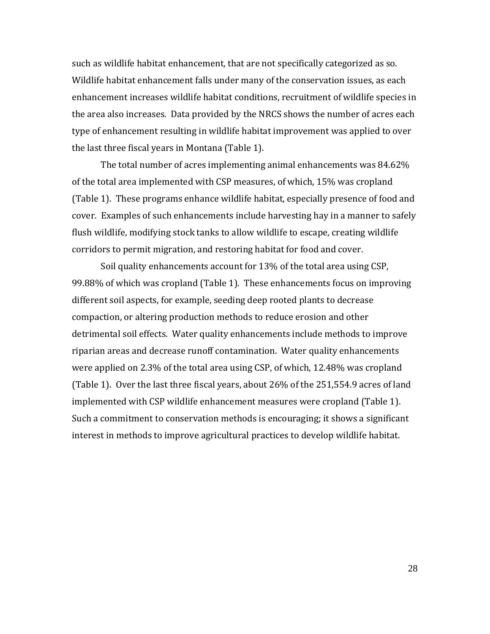such as wildlife habitat enhancement, that are not specifically categorized as so. Wildlife habitat enhancement falls under many of the conservation issues, as each enhancement increases wildlife habitat conditions, recruitment of wildlife species in the area also increases. Data provided by the NRCS shows the number of acres each type of enhancement resulting in wildlife habitat improvement was applied to over the last three fiscal years in Montana (Table 1).

The total number of acres implementing animal enhancements was 84.62% of the total area implemented with CSP measures, of which, 15% was cropland (Table 1). These programs enhance wildlife habitat, especially presence of food and cover. Examples of such enhancements include harvesting hay in a manner to safely flush wildlife, modifying stock tanks to allow wildlife to escape, creating wildlife corridors to permit migration, and restoring habitat for food and cover.

Soil quality enhancements account for 13% of the total area using CSP, 99.88% of which was cropland (Table 1). These enhancements focus on improving different soil aspects, for example, seeding deep rooted plants to decrease compaction, or altering production methods to reduce erosion and other detrimental soil effects. Water quality enhancements include methods to improve riparian areas and decrease runoff contamination. Water quality enhancements were applied on 2.3% of the total area using CSP, of which, 12.48% was cropland (Table 1). Over the last three fiscal years, about 26% of the 251,554.9 acres of land implemented with CSP wildlife enhancement measures were cropland (Table 1). Such a commitment to conservation methods is encouraging; it shows a significant interest in methods to improve agricultural practices to develop wildlife habitat.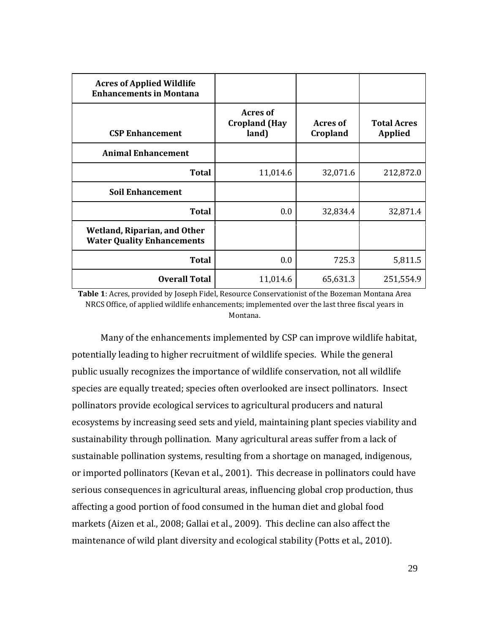| <b>Acres of Applied Wildlife</b><br><b>Enhancements in Montana</b> |                                           |                      |                                      |
|--------------------------------------------------------------------|-------------------------------------------|----------------------|--------------------------------------|
| <b>CSP Enhancement</b>                                             | Acres of<br><b>Cropland (Hay</b><br>land) | Acres of<br>Cropland | <b>Total Acres</b><br><b>Applied</b> |
| <b>Animal Enhancement</b>                                          |                                           |                      |                                      |
| <b>Total</b>                                                       | 11,014.6                                  | 32,071.6             | 212,872.0                            |
| <b>Soil Enhancement</b>                                            |                                           |                      |                                      |
| <b>Total</b>                                                       | 0.0                                       | 32,834.4             | 32,871.4                             |
| Wetland, Riparian, and Other<br><b>Water Quality Enhancements</b>  |                                           |                      |                                      |
| <b>Total</b>                                                       | 0.0                                       | 725.3                | 5,811.5                              |
| <b>Overall Total</b>                                               | 11,014.6                                  | 65,631.3             | 251,554.9                            |

**Table 1**: Acres, provided by Joseph Fidel, Resource Conservationist of the Bozeman Montana Area NRCS Office, of applied wildlife enhancements; implemented over the last three fiscal years in Montana.

Many of the enhancements implemented by CSP can improve wildlife habitat, potentially leading to higher recruitment of wildlife species. While the general public usually recognizes the importance of wildlife conservation, not all wildlife species are equally treated; species often overlooked are insect pollinators. Insect pollinators provide ecological services to agricultural producers and natural ecosystems by increasing seed sets and yield, maintaining plant species viability and sustainability through pollination. Many agricultural areas suffer from a lack of sustainable pollination systems, resulting from a shortage on managed, indigenous, or imported pollinators (Kevan et al., 2001). This decrease in pollinators could have serious consequences in agricultural areas, influencing global crop production, thus affecting a good portion of food consumed in the human diet and global food markets (Aizen et al., 2008; Gallai et al., 2009). This decline can also affect the maintenance of wild plant diversity and ecological stability (Potts et al., 2010).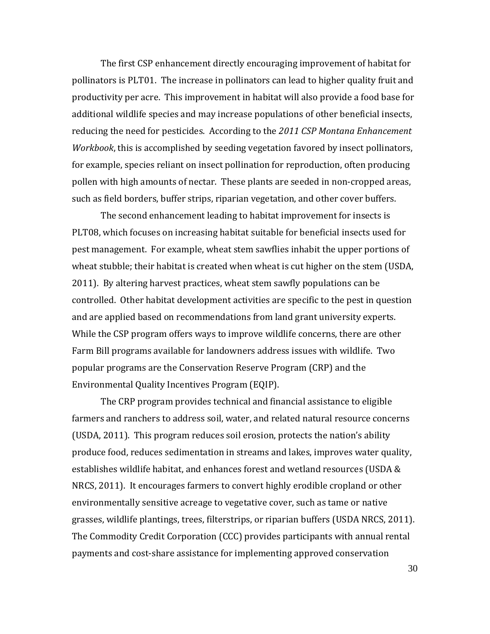The first CSP enhancement directly encouraging improvement of habitat for pollinators is PLT01. The increase in pollinators can lead to higher quality fruit and productivity per acre. This improvement in habitat will also provide a food base for additional wildlife species and may increase populations of other beneficial insects, reducing the need for pesticides. According to the *2011 CSP Montana Enhancement Workbook*, this is accomplished by seeding vegetation favored by insect pollinators, for example, species reliant on insect pollination for reproduction, often producing pollen with high amounts of nectar. These plants are seeded in non-cropped areas, such as field borders, buffer strips, riparian vegetation, and other cover buffers.

The second enhancement leading to habitat improvement for insects is PLT08, which focuses on increasing habitat suitable for beneficial insects used for pest management. For example, wheat stem sawflies inhabit the upper portions of wheat stubble; their habitat is created when wheat is cut higher on the stem (USDA, 2011). By altering harvest practices, wheat stem sawfly populations can be controlled. Other habitat development activities are specific to the pest in question and are applied based on recommendations from land grant university experts. While the CSP program offers ways to improve wildlife concerns, there are other Farm Bill programs available for landowners address issues with wildlife. Two popular programs are the Conservation Reserve Program (CRP) and the Environmental Quality Incentives Program (EQIP).

The CRP program provides technical and financial assistance to eligible farmers and ranchers to address soil, water, and related natural resource concerns (USDA, 2011). This program reduces soil erosion, protects the nation's ability produce food, reduces sedimentation in streams and lakes, improves water quality, establishes wildlife habitat, and enhances forest and wetland resources (USDA & NRCS, 2011). It encourages farmers to convert highly erodible cropland or other environmentally sensitive acreage to vegetative cover, such as tame or native grasses, wildlife plantings, trees, filterstrips, or riparian buffers (USDA NRCS, 2011). The Commodity Credit Corporation (CCC) provides participants with annual rental payments and cost-share assistance for implementing approved conservation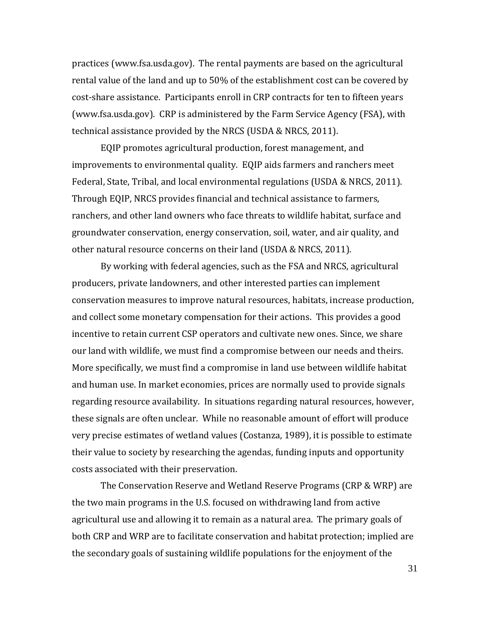practices (www.fsa.usda.gov). The rental payments are based on the agricultural rental value of the land and up to 50% of the establishment cost can be covered by cost-share assistance. Participants enroll in CRP contracts for ten to fifteen years (www.fsa.usda.gov). CRP is administered by the Farm Service Agency (FSA), with technical assistance provided by the NRCS (USDA & NRCS, 2011).

EQIP promotes agricultural production, forest management, and improvements to environmental quality. EQIP aids farmers and ranchers meet Federal, State, Tribal, and local environmental regulations (USDA & NRCS, 2011). Through EQIP, NRCS provides financial and technical assistance to farmers, ranchers, and other land owners who face threats to wildlife habitat, surface and groundwater conservation, energy conservation, soil, water, and air quality, and other natural resource concerns on their land (USDA & NRCS, 2011).

By working with federal agencies, such as the FSA and NRCS, agricultural producers, private landowners, and other interested parties can implement conservation measures to improve natural resources, habitats, increase production, and collect some monetary compensation for their actions. This provides a good incentive to retain current CSP operators and cultivate new ones. Since, we share our land with wildlife, we must find a compromise between our needs and theirs. More specifically, we must find a compromise in land use between wildlife habitat and human use. In market economies, prices are normally used to provide signals regarding resource availability. In situations regarding natural resources, however, these signals are often unclear. While no reasonable amount of effort will produce very precise estimates of wetland values (Costanza, 1989), it is possible to estimate their value to society by researching the agendas, funding inputs and opportunity costs associated with their preservation.

The Conservation Reserve and Wetland Reserve Programs (CRP & WRP) are the two main programs in the U.S. focused on withdrawing land from active agricultural use and allowing it to remain as a natural area. The primary goals of both CRP and WRP are to facilitate conservation and habitat protection; implied are the secondary goals of sustaining wildlife populations for the enjoyment of the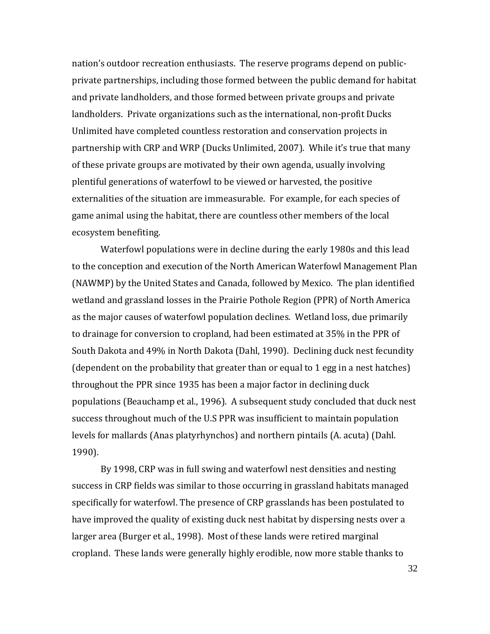nation's outdoor recreation enthusiasts. The reserve programs depend on publicprivate partnerships, including those formed between the public demand for habitat and private landholders, and those formed between private groups and private landholders. Private organizations such as the international, non-profit Ducks Unlimited have completed countless restoration and conservation projects in partnership with CRP and WRP (Ducks Unlimited, 2007). While it's true that many of these private groups are motivated by their own agenda, usually involving plentiful generations of waterfowl to be viewed or harvested, the positive externalities of the situation are immeasurable. For example, for each species of game animal using the habitat, there are countless other members of the local ecosystem benefiting.

Waterfowl populations were in decline during the early 1980s and this lead to the conception and execution of the North American Waterfowl Management Plan (NAWMP) by the United States and Canada, followed by Mexico. The plan identified wetland and grassland losses in the Prairie Pothole Region (PPR) of North America as the major causes of waterfowl population declines. Wetland loss, due primarily to drainage for conversion to cropland, had been estimated at 35% in the PPR of South Dakota and 49% in North Dakota (Dahl, 1990). Declining duck nest fecundity (dependent on the probability that greater than or equal to 1 egg in a nest hatches) throughout the PPR since 1935 has been a major factor in declining duck populations (Beauchamp et al., 1996). A subsequent study concluded that duck nest success throughout much of the U.S PPR was insufficient to maintain population levels for mallards (Anas platyrhynchos) and northern pintails (A. acuta) (Dahl. 1990).

By 1998, CRP was in full swing and waterfowl nest densities and nesting success in CRP fields was similar to those occurring in grassland habitats managed specifically for waterfowl. The presence of CRP grasslands has been postulated to have improved the quality of existing duck nest habitat by dispersing nests over a larger area (Burger et al., 1998). Most of these lands were retired marginal cropland. These lands were generally highly erodible, now more stable thanks to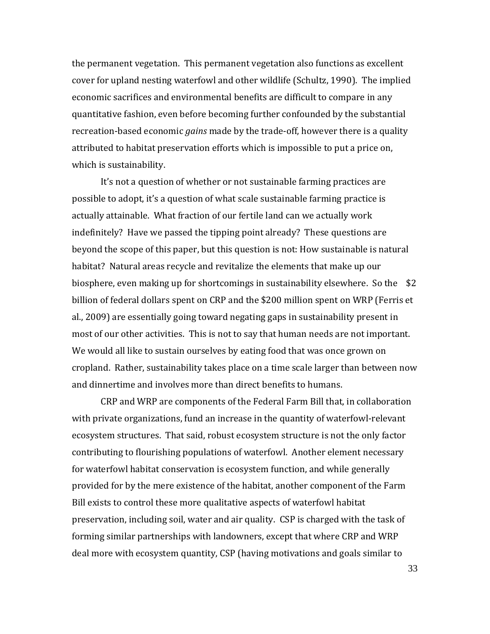the permanent vegetation. This permanent vegetation also functions as excellent cover for upland nesting waterfowl and other wildlife (Schultz, 1990). The implied economic sacrifices and environmental benefits are difficult to compare in any quantitative fashion, even before becoming further confounded by the substantial recreation-based economic *gains* made by the trade-off, however there is a quality attributed to habitat preservation efforts which is impossible to put a price on, which is sustainability.

It's not a question of whether or not sustainable farming practices are possible to adopt, it's a question of what scale sustainable farming practice is actually attainable. What fraction of our fertile land can we actually work indefinitely? Have we passed the tipping point already? These questions are beyond the scope of this paper, but this question is not: How sustainable is natural habitat? Natural areas recycle and revitalize the elements that make up our biosphere, even making up for shortcomings in sustainability elsewhere. So the \$2 billion of federal dollars spent on CRP and the \$200 million spent on WRP (Ferris et al., 2009) are essentially going toward negating gaps in sustainability present in most of our other activities. This is not to say that human needs are not important. We would all like to sustain ourselves by eating food that was once grown on cropland. Rather, sustainability takes place on a time scale larger than between now and dinnertime and involves more than direct benefits to humans.

CRP and WRP are components of the Federal Farm Bill that, in collaboration with private organizations, fund an increase in the quantity of waterfowl-relevant ecosystem structures. That said, robust ecosystem structure is not the only factor contributing to flourishing populations of waterfowl. Another element necessary for waterfowl habitat conservation is ecosystem function, and while generally provided for by the mere existence of the habitat, another component of the Farm Bill exists to control these more qualitative aspects of waterfowl habitat preservation, including soil, water and air quality. CSP is charged with the task of forming similar partnerships with landowners, except that where CRP and WRP deal more with ecosystem quantity, CSP (having motivations and goals similar to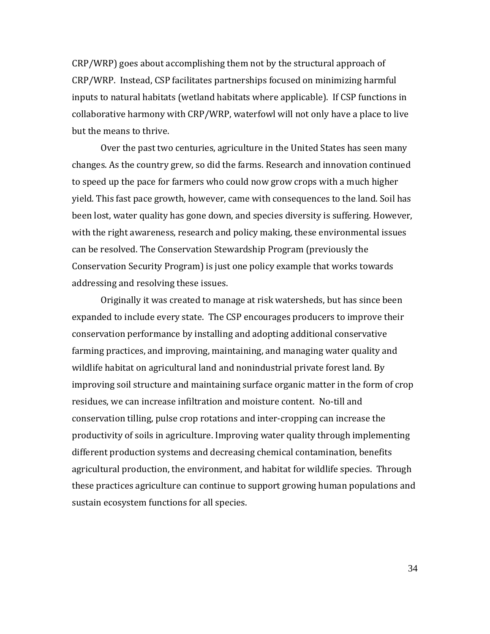CRP/WRP) goes about accomplishing them not by the structural approach of CRP/WRP. Instead, CSP facilitates partnerships focused on minimizing harmful inputs to natural habitats (wetland habitats where applicable). If CSP functions in collaborative harmony with CRP/WRP, waterfowl will not only have a place to live but the means to thrive.

 Over the past two centuries, agriculture in the United States has seen many changes. As the country grew, so did the farms. Research and innovation continued to speed up the pace for farmers who could now grow crops with a much higher yield. This fast pace growth, however, came with consequences to the land. Soil has been lost, water quality has gone down, and species diversity is suffering. However, with the right awareness, research and policy making, these environmental issues can be resolved. The Conservation Stewardship Program (previously the Conservation Security Program) is just one policy example that works towards addressing and resolving these issues.

Originally it was created to manage at risk watersheds, but has since been expanded to include every state. The CSP encourages producers to improve their conservation performance by installing and adopting additional conservative farming practices, and improving, maintaining, and managing water quality and wildlife habitat on agricultural land and nonindustrial private forest land. By improving soil structure and maintaining surface organic matter in the form of crop residues, we can increase infiltration and moisture content. No-till and conservation tilling, pulse crop rotations and inter-cropping can increase the productivity of soils in agriculture. Improving water quality through implementing different production systems and decreasing chemical contamination, benefits agricultural production, the environment, and habitat for wildlife species. Through these practices agriculture can continue to support growing human populations and sustain ecosystem functions for all species.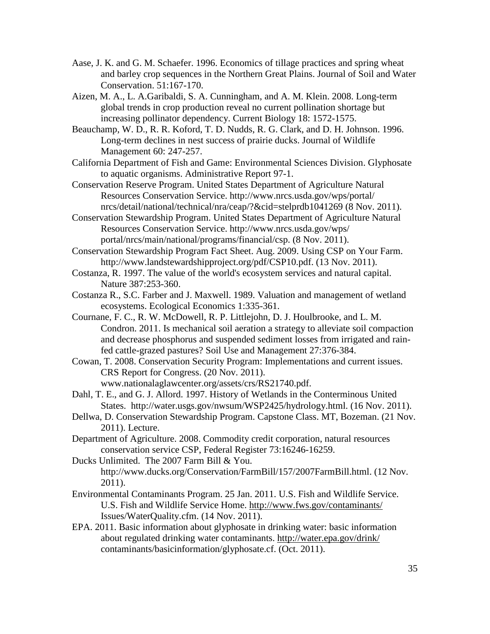- Aase, J. K. and G. M. Schaefer. 1996. Economics of tillage practices and spring wheat and barley crop sequences in the Northern Great Plains. Journal of Soil and Water Conservation. 51:167-170.
- Aizen, M. A., L. A.Garibaldi, S. A. Cunningham, and A. M. Klein. 2008. Long-term global trends in crop production reveal no current pollination shortage but increasing pollinator dependency. Current Biology 18: 1572-1575.
- Beauchamp, W. D., R. R. Koford, T. D. Nudds, R. G. Clark, and D. H. Johnson. 1996. Long-term declines in nest success of prairie ducks. Journal of Wildlife Management 60: 247-257.
- California Department of Fish and Game: Environmental Sciences Division. Glyphosate to aquatic organisms. Administrative Report 97-1.
- Conservation Reserve Program. United States Department of Agriculture Natural Resources Conservation Service.<http://www.nrcs.usda.gov/wps/portal/> nrcs/detail/national/technical/nra/ceap/?&cid=stelprdb1041269 (8 Nov. 2011).
- Conservation Stewardship Program. United States Department of Agriculture Natural Resources Conservation Service.<http://www.nrcs.usda.gov/wps/> portal/nrcs/main/national/programs/financial/csp. (8 Nov. 2011).
- Conservation Stewardship Program Fact Sheet. Aug. 2009. Using CSP on Your Farm. http://www.landstewardshipproject.org/pdf/CSP10.pdf. (13 Nov. 2011).
- Costanza, R. 1997. The value of the world's ecosystem services and natural capital. Nature 387:253-360.
- Costanza R., S.C. Farber and J. Maxwell. 1989. Valuation and management of wetland ecosystems. Ecological Economics 1:335-361.
- Cournane, F. C., R. W. McDowell, R. P. Littlejohn, D. J. Houlbrooke, and L. M. Condron. 2011. Is mechanical soil aeration a strategy to alleviate soil compaction and decrease phosphorus and suspended sediment losses from irrigated and rainfed cattle-grazed pastures? Soil Use and Management 27:376-384.
- Cowan, T. 2008. Conservation Security Program: Implementations and current issues. CRS Report for Congress. (20 Nov. 2011). www.nationalaglawcenter.org/assets/crs/RS21740.pdf.
- Dahl, T. E., and G. J. Allord. 1997. History of Wetlands in the Conterminous United States. http://water.usgs.gov/nwsum/WSP2425/hydrology.html. (16 Nov. 2011).
- Dellwa, D. Conservation Stewardship Program. Capstone Class. MT, Bozeman. (21 Nov. 2011). Lecture.
- Department of Agriculture. 2008. Commodity credit corporation, natural resources conservation service CSP, Federal Register 73:16246-16259.
- Ducks Unlimited. The 2007 Farm Bill & You. http://www.ducks.org/Conservation/FarmBill/157/2007FarmBill.html. (12 Nov. 2011).
- Environmental Contaminants Program. 25 Jan. 2011. U.S. Fish and Wildlife Service. U.S. Fish and Wildlife Service Home.<http://www.fws.gov/contaminants/> Issues/WaterQuality.cfm. (14 Nov. 2011).
- EPA. 2011. Basic information about glyphosate in drinking water: basic information about regulated drinking water contaminants.<http://water.epa.gov/drink/> contaminants/basicinformation/glyphosate.cf. (Oct. 2011).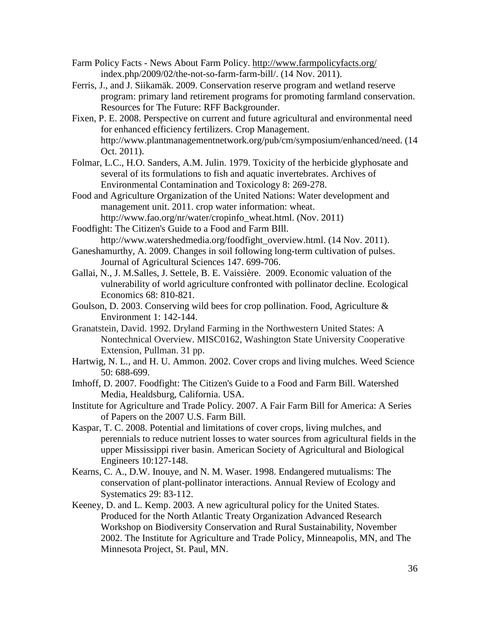- Farm Policy Facts News About Farm Policy.<http://www.farmpolicyfacts.org/> index.php/2009/02/the-not-so-farm-farm-bill/. (14 Nov. 2011).
- Ferris, J., and J. Siikamäk. 2009. Conservation reserve program and wetland reserve program: primary land retirement programs for promoting farmland conservation. Resources for The Future: RFF Backgrounder.
- Fixen, P. E. 2008. Perspective on current and future agricultural and environmental need for enhanced efficiency fertilizers. Crop Management. http://www.plantmanagementnetwork.org/pub/cm/symposium/enhanced/need. (14 Oct. 2011).
- Folmar, L.C., H.O. Sanders, A.M. Julin. 1979. Toxicity of the herbicide glyphosate and several of its formulations to fish and aquatic invertebrates. Archives of Environmental Contamination and Toxicology 8: 269-278.
- Food and Agriculture Organization of the United Nations: Water development and management unit. 2011. crop water information: wheat. http://www.fao.org/nr/water/cropinfo\_wheat.html. (Nov. 2011)
- Foodfight: The Citizen's Guide to a Food and Farm BIll. http://www.watershedmedia.org/foodfight\_overview.html. (14 Nov. 2011).
- Ganeshamurthy, A. 2009. Changes in soil following long-term cultivation of pulses. Journal of Agricultural Sciences 147. 699-706.
- Gallai, N., J. M.Salles, J. Settele, B. E. Vaissière. 2009. Economic valuation of the vulnerability of world agriculture confronted with pollinator decline. Ecological Economics 68: 810-821.
- Goulson, D. 2003. Conserving wild bees for crop pollination. Food, Agriculture  $\&$ Environment 1: 142-144.
- Granatstein, David. 1992. Dryland Farming in the Northwestern United States: A Nontechnical Overview. MISC0162, Washington State University Cooperative Extension, Pullman. 31 pp.
- Hartwig, N. L., and H. U. Ammon. 2002. Cover crops and living mulches. Weed Science 50: 688-699.
- Imhoff, D. 2007. Foodfight: The Citizen's Guide to a Food and Farm Bill. Watershed Media, Healdsburg, California. USA.
- Institute for Agriculture and Trade Policy. 2007. A Fair Farm Bill for America: A Series of Papers on the 2007 U.S. Farm Bill.
- Kaspar, T. C. 2008. Potential and limitations of cover crops, living mulches, and perennials to reduce nutrient losses to water sources from agricultural fields in the upper Mississippi river basin. American Society of Agricultural and Biological Engineers 10:127-148.
- Kearns, C. A., D.W. Inouye, and N. M. Waser. 1998. Endangered mutualisms: The conservation of plant-pollinator interactions. Annual Review of Ecology and Systematics 29: 83-112.
- Keeney, D. and L. Kemp. 2003. A new agricultural policy for the United States. Produced for the North Atlantic Treaty Organization Advanced Research Workshop on Biodiversity Conservation and Rural Sustainability, November 2002. The Institute for Agriculture and Trade Policy, Minneapolis, MN, and The Minnesota Project, St. Paul, MN.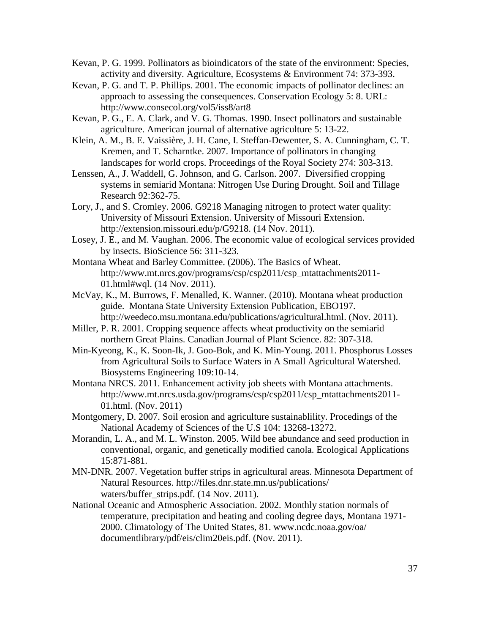- Kevan, P. G. 1999. Pollinators as bioindicators of the state of the environment: Species, activity and diversity. Agriculture, Ecosystems & Environment 74: 373-393.
- Kevan, P. G. and T. P. Phillips. 2001. The economic impacts of pollinator declines: an approach to assessing the consequences. Conservation Ecology 5: 8. URL: http://www.consecol.org/vol5/iss8/art8
- Kevan, P. G., E. A. Clark, and V. G. Thomas. 1990. Insect pollinators and sustainable agriculture. American journal of alternative agriculture 5: 13-22.
- Klein, A. M., B. E. Vaissière, J. H. Cane, I. Steffan-Dewenter, S. A. Cunningham, C. T. Kremen, and T. Scharntke. 2007. Importance of pollinators in changing landscapes for world crops. Proceedings of the Royal Society 274: 303-313.
- Lenssen, A., J. Waddell, G. Johnson, and G. Carlson. 2007. Diversified cropping systems in semiarid Montana: Nitrogen Use During Drought. Soil and Tillage Research 92:362-75.
- Lory, J., and S. Cromley. 2006. G9218 Managing nitrogen to protect water quality: University of Missouri Extension. University of Missouri Extension. http://extension.missouri.edu/p/G9218. (14 Nov. 2011).
- Losey, J. E., and M. Vaughan. 2006. The economic value of ecological services provided by insects. BioScience 56: 311-323.
- Montana Wheat and Barley Committee. (2006). The Basics of Wheat. http://www.mt.nrcs.gov/programs/csp/csp2011/csp\_mtattachments2011- 01.html#wql. (14 Nov. 2011).
- McVay, K., M. Burrows, F. Menalled, K. Wanner. (2010). Montana wheat production guide. Montana State University Extension Publication, EBO197. http://weedeco.msu.montana.edu/publications/agricultural.html. (Nov. 2011).
- Miller, P. R. 2001. Cropping sequence affects wheat productivity on the semiarid northern Great Plains. Canadian Journal of Plant Science. 82: 307-318.
- Min-Kyeong, K., K. Soon-Ik, J. Goo-Bok, and K. Min-Young. 2011. Phosphorus Losses from Agricultural Soils to Surface Waters in A Small Agricultural Watershed. Biosystems Engineering 109:10-14.
- Montana NRCS. 2011. Enhancement activity job sheets with Montana attachments. [http://www.mt.nrcs.usda.gov/programs/csp/csp2011/csp\\_mtattachments2011-](http://www.mt.nrcs.usda.gov/programs/csp/csp2011/csp_mtattachments2011-01.html) [01.html.](http://www.mt.nrcs.usda.gov/programs/csp/csp2011/csp_mtattachments2011-01.html) (Nov. 2011)
- Montgomery, D. 2007. Soil erosion and agriculture sustainablility. Procedings of the National Academy of Sciences of the U.S 104: 13268-13272.
- Morandin, L. A., and M. L. Winston. 2005. Wild bee abundance and seed production in conventional, organic, and genetically modified canola. Ecological Applications 15:871-881.
- MN-DNR. 2007. Vegetation buffer strips in agricultural areas. Minnesota Department of Natural Resources. [http://files.dnr.state.mn.us/p](http://files.dnr.state.mn.us/)ublications/ waters/buffer\_strips.pdf. (14 Nov. 2011).
- National Oceanic and Atmospheric Association. 2002. Monthly station normals of temperature, precipitation and heating and cooling degree days, Montana 1971- 2000. Climatology of The United States, 81. [www.ncdc.noaa.gov/oa/](http://www.ncdc.noaa.gov/oa/) documentlibrary/pdf/eis/clim20eis.pdf. (Nov. 2011).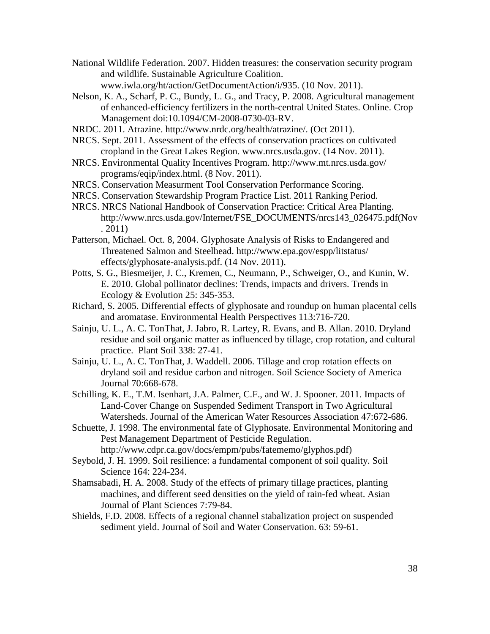- National Wildlife Federation. 2007. Hidden treasures: the conservation security program and wildlife. Sustainable Agriculture Coalition. www.iwla.org/ht/action/GetDocumentAction/i/935. (10 Nov. 2011).
- Nelson, K. A., Scharf, P. C., Bundy, L. G., and Tracy, P. 2008. Agricultural management of enhanced-efficiency fertilizers in the north-central United States. Online. Crop Management doi:10.1094/CM-2008-0730-03-RV.
- NRDC. 2011. Atrazine. http://www.nrdc.org/health/atrazine/. (Oct 2011).
- NRCS. Sept. 2011. Assessment of the effects of conservation practices on cultivated cropland in the Great Lakes Region. www.nrcs.usda.gov. (14 Nov. 2011).
- NRCS. Environmental Quality Incentives Program.<http://www.mt.nrcs.usda.gov/> programs/eqip/index.html. (8 Nov. 2011).
- NRCS. Conservation Measurment Tool Conservation Performance Scoring.
- NRCS. Conservation Stewardship Program Practice List. 2011 Ranking Period.
- NRCS. NRCS National Handbook of Conservation Practice: Critical Area Planting. [http://www.nrcs.usda.gov/Internet/FSE\\_DOCUMENTS/nrcs143\\_026475.pdf\(](http://www.nrcs.usda.gov/Internet/FSE_DOCUMENTS/nrcs143_026475.pdf)Nov . 2011)
- Patterson, Michael. Oct. 8, 2004. Glyphosate Analysis of Risks to Endangered and Threatened Salmon and Steelhead. [http://www.epa.gov/espp/l](http://www.epa.gov/espp/)itstatus/ effects/glyphosate-analysis.pdf. (14 Nov. 2011).
- Potts, S. G., Biesmeijer, J. C., Kremen, C., Neumann, P., Schweiger, O., and Kunin, W. E. 2010. Global pollinator declines: Trends, impacts and drivers. Trends in Ecology & Evolution 25: 345-353.
- Richard, S. 2005. Differential effects of glyphosate and roundup on human placental cells and aromatase. Environmental Health Perspectives 113:716-720.
- Sainju, U. L., A. C. TonThat, J. Jabro, R. Lartey, R. Evans, and B. Allan. 2010. Dryland residue and soil organic matter as influenced by tillage, crop rotation, and cultural practice. Plant Soil 338: 27-41.
- Sainju, U. L., A. C. TonThat, J. Waddell. 2006. Tillage and crop rotation effects on dryland soil and residue carbon and nitrogen. Soil Science Society of America Journal 70:668-678.
- Schilling, K. E., T.M. Isenhart, J.A. Palmer, C.F., and W. J. Spooner. 2011. Impacts of Land-Cover Change on Suspended Sediment Transport in Two Agricultural Watersheds. Journal of the American Water Resources Association 47:672-686.
- Schuette, J. 1998. The environmental fate of Glyphosate. Environmental Monitoring and Pest Management Department of Pesticide Regulation. [http://www.cdpr.ca.gov/docs/empm/pubs/fatememo/glyphos.pdf\)](http://www.cdpr.ca.gov/docs/empm/pubs/fatememo/glyphos.pdf)
- Seybold, J. H. 1999. Soil resilience: a fundamental component of soil quality. Soil Science 164: 224-234.
- Shamsabadi, H. A. 2008. Study of the effects of primary tillage practices, planting machines, and different seed densities on the yield of rain-fed wheat. Asian Journal of Plant Sciences 7:79-84.
- Shields, F.D. 2008. Effects of a regional channel stabalization project on suspended sediment yield. Journal of Soil and Water Conservation. 63: 59-61.